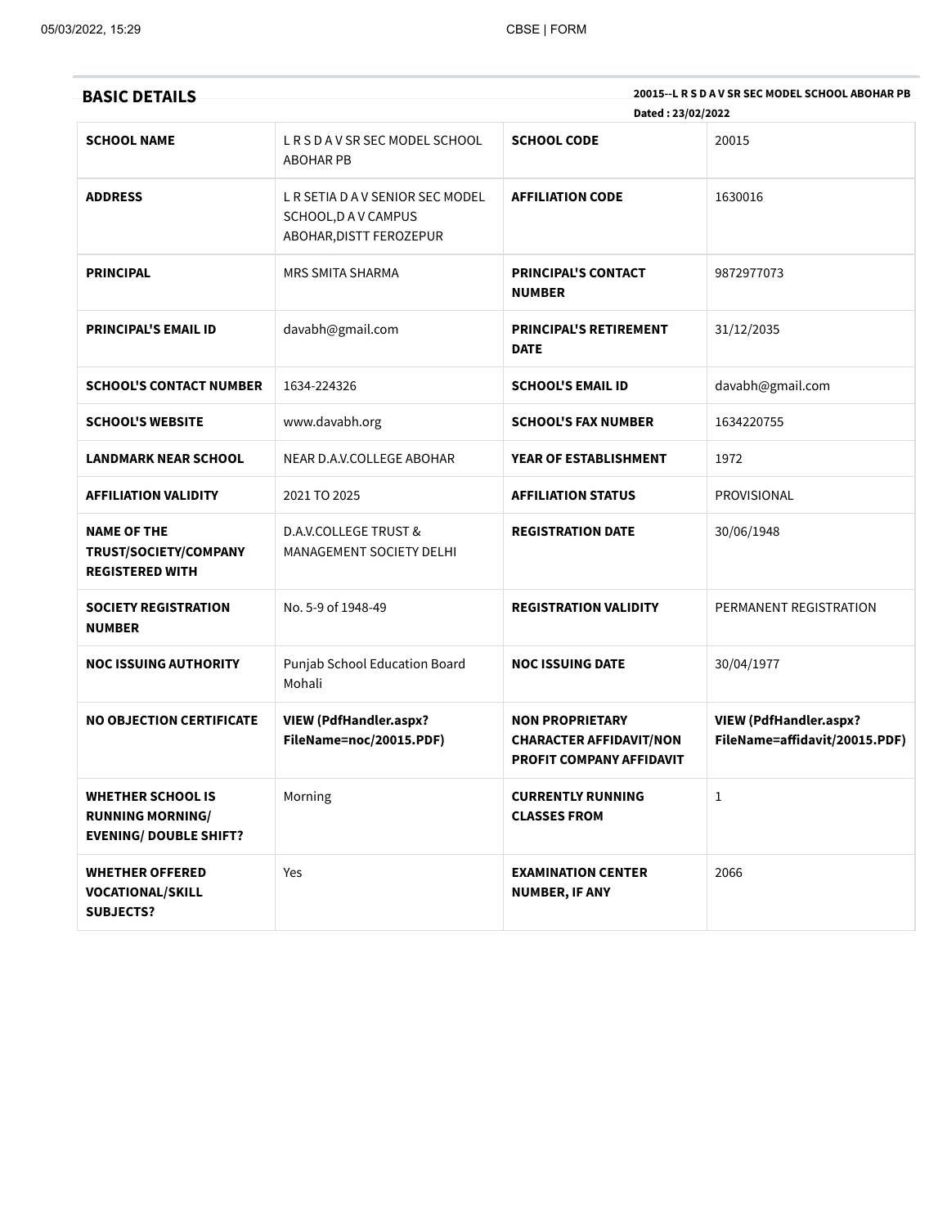| <b>BASIC DETAILS</b>                                                                 |                                                                                   | Dated: 23/02/2022                                                                           | 20015--L R S D A V SR SEC MODEL SCHOOL ABOHAR PB               |
|--------------------------------------------------------------------------------------|-----------------------------------------------------------------------------------|---------------------------------------------------------------------------------------------|----------------------------------------------------------------|
| <b>SCHOOL NAME</b>                                                                   | LRSDAVSRSECMODELSCHOOL<br><b>ABOHAR PB</b>                                        | <b>SCHOOL CODE</b>                                                                          | 20015                                                          |
| <b>ADDRESS</b>                                                                       | L R SETIA D A V SENIOR SEC MODEL<br>SCHOOL, DAV CAMPUS<br>ABOHAR, DISTT FEROZEPUR | <b>AFFILIATION CODE</b>                                                                     | 1630016                                                        |
| <b>PRINCIPAL</b>                                                                     | <b>MRS SMITA SHARMA</b>                                                           | <b>PRINCIPAL'S CONTACT</b><br><b>NUMBER</b>                                                 | 9872977073                                                     |
| <b>PRINCIPAL'S EMAIL ID</b>                                                          | davabh@gmail.com                                                                  | <b>PRINCIPAL'S RETIREMENT</b><br><b>DATE</b>                                                | 31/12/2035                                                     |
| <b>SCHOOL'S CONTACT NUMBER</b>                                                       | 1634-224326                                                                       | <b>SCHOOL'S EMAIL ID</b>                                                                    | davabh@gmail.com                                               |
| <b>SCHOOL'S WEBSITE</b>                                                              | www.davabh.org                                                                    | <b>SCHOOL'S FAX NUMBER</b>                                                                  | 1634220755                                                     |
| <b>LANDMARK NEAR SCHOOL</b>                                                          | NEAR D.A.V.COLLEGE ABOHAR                                                         | YEAR OF ESTABLISHMENT                                                                       | 1972                                                           |
| <b>AFFILIATION VALIDITY</b>                                                          | 2021 TO 2025                                                                      | <b>AFFILIATION STATUS</b>                                                                   | <b>PROVISIONAL</b>                                             |
| NAME OF THE<br>TRUST/SOCIETY/COMPANY<br><b>REGISTERED WITH</b>                       | <b>D.A.V.COLLEGE TRUST &amp;</b><br><b>MANAGEMENT SOCIETY DELHI</b>               | <b>REGISTRATION DATE</b>                                                                    | 30/06/1948                                                     |
| <b>SOCIETY REGISTRATION</b><br><b>NUMBER</b>                                         | No. 5-9 of 1948-49                                                                | <b>REGISTRATION VALIDITY</b>                                                                | PERMANENT REGISTRATION                                         |
| <b>NOC ISSUING AUTHORITY</b>                                                         | Punjab School Education Board<br>Mohali                                           | <b>NOC ISSUING DATE</b>                                                                     | 30/04/1977                                                     |
| <b>NO OBJECTION CERTIFICATE</b>                                                      | <b>VIEW (PdfHandler.aspx?</b><br>FileName=noc/20015.PDF)                          | <b>NON PROPRIETARY</b><br><b>CHARACTER AFFIDAVIT/NON</b><br><b>PROFIT COMPANY AFFIDAVIT</b> | <b>VIEW (PdfHandler.aspx?</b><br>FileName=affidavit/20015.PDF) |
| <b>WHETHER SCHOOL IS</b><br><b>RUNNING MORNING/</b><br><b>EVENING/ DOUBLE SHIFT?</b> | Morning                                                                           | <b>CURRENTLY RUNNING</b><br><b>CLASSES FROM</b>                                             | $\mathbf{1}$                                                   |
| <b>WHETHER OFFERED</b><br><b>VOCATIONAL/SKILL</b><br><b>SUBJECTS?</b>                | Yes                                                                               | <b>EXAMINATION CENTER</b><br>NUMBER, IF ANY                                                 | 2066                                                           |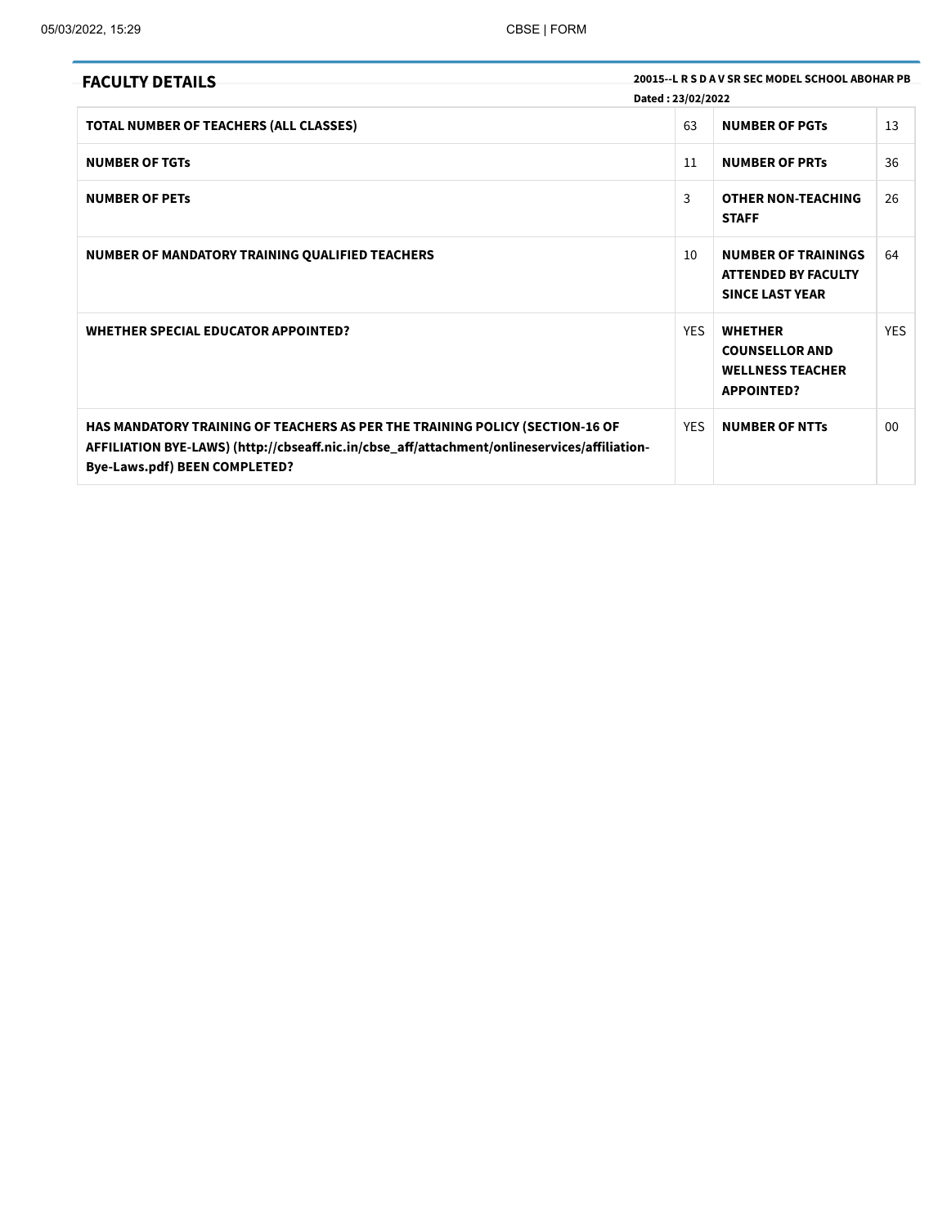| <b>FACULTY DETAILS</b>                                                                                                                                                                                               | Dated: 23/02/2022 | 20015 - L R S D A V SR SEC MODEL SCHOOL ABOHAR PB                                       |                |
|----------------------------------------------------------------------------------------------------------------------------------------------------------------------------------------------------------------------|-------------------|-----------------------------------------------------------------------------------------|----------------|
| TOTAL NUMBER OF TEACHERS (ALL CLASSES)                                                                                                                                                                               | 63                | <b>NUMBER OF PGTs</b>                                                                   | 13             |
| <b>NUMBER OF TGTs</b>                                                                                                                                                                                                | 11                | <b>NUMBER OF PRTS</b>                                                                   | 36             |
| <b>NUMBER OF PETS</b>                                                                                                                                                                                                | 3                 | <b>OTHER NON-TEACHING</b><br><b>STAFF</b>                                               | 26             |
| NUMBER OF MANDATORY TRAINING QUALIFIED TEACHERS                                                                                                                                                                      | 10                | <b>NUMBER OF TRAININGS</b><br><b>ATTENDED BY FACULTY</b><br><b>SINCE LAST YEAR</b>      | 64             |
| <b>WHETHER SPECIAL EDUCATOR APPOINTED?</b>                                                                                                                                                                           | <b>YES</b>        | <b>WHETHER</b><br><b>COUNSELLOR AND</b><br><b>WELLNESS TEACHER</b><br><b>APPOINTED?</b> | <b>YES</b>     |
| HAS MANDATORY TRAINING OF TEACHERS AS PER THE TRAINING POLICY (SECTION-16 OF<br>AFFILIATION BYE-LAWS) (http://cbseaff.nic.in/cbse_aff/attachment/onlineservices/affiliation-<br><b>Bye-Laws.pdf) BEEN COMPLETED?</b> | <b>YES</b>        | <b>NUMBER OF NTTs</b>                                                                   | 0 <sub>0</sub> |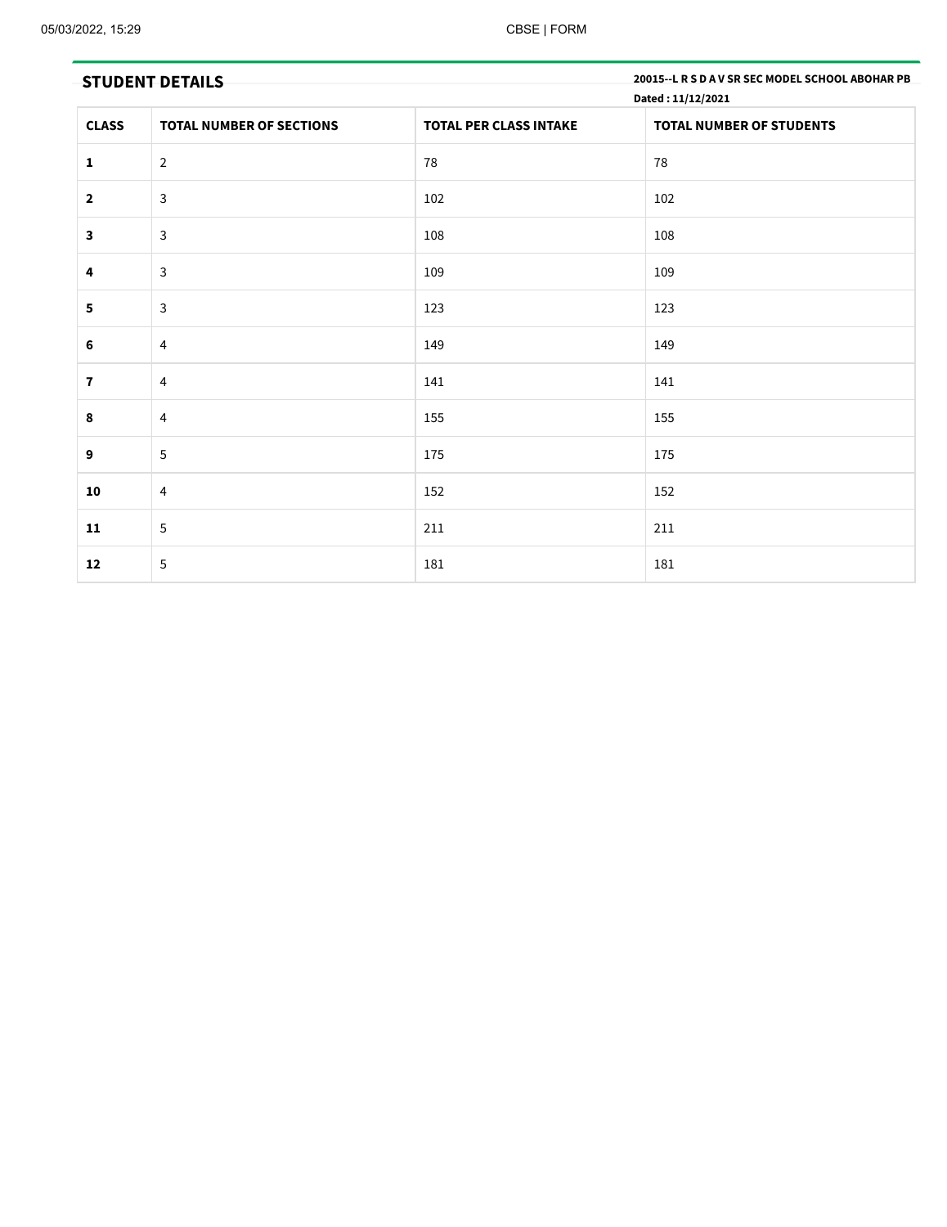|                         | <b>STUDENT DETAILS</b>          |                               | 20015 -- L R S D A V SR SEC MODEL SCHOOL ABOHAR PB<br>Dated: 11/12/2021 |
|-------------------------|---------------------------------|-------------------------------|-------------------------------------------------------------------------|
| <b>CLASS</b>            | <b>TOTAL NUMBER OF SECTIONS</b> | <b>TOTAL PER CLASS INTAKE</b> | <b>TOTAL NUMBER OF STUDENTS</b>                                         |
| $\mathbf{1}$            | $\overline{2}$                  | 78                            | 78                                                                      |
| $\overline{\mathbf{2}}$ | $\mathbf{3}$                    | 102                           | 102                                                                     |
| $\mathbf{3}$            | $\mathbf{3}$                    | 108                           | 108                                                                     |
| 4                       | 3                               | 109                           | 109                                                                     |
| $\overline{\mathbf{5}}$ | $\mathbf{3}$                    | 123                           | 123                                                                     |
| 6                       | $\overline{4}$                  | 149                           | 149                                                                     |
| $\mathbf{7}$            | $\overline{4}$                  | 141                           | 141                                                                     |
| $\pmb{8}$               | $\overline{4}$                  | 155                           | 155                                                                     |
| 9                       | 5                               | 175                           | 175                                                                     |
| 10                      | $\overline{4}$                  | 152                           | 152                                                                     |
| 11                      | $5\phantom{.0}$                 | 211                           | 211                                                                     |
| 12                      | $\overline{5}$                  | 181                           | 181                                                                     |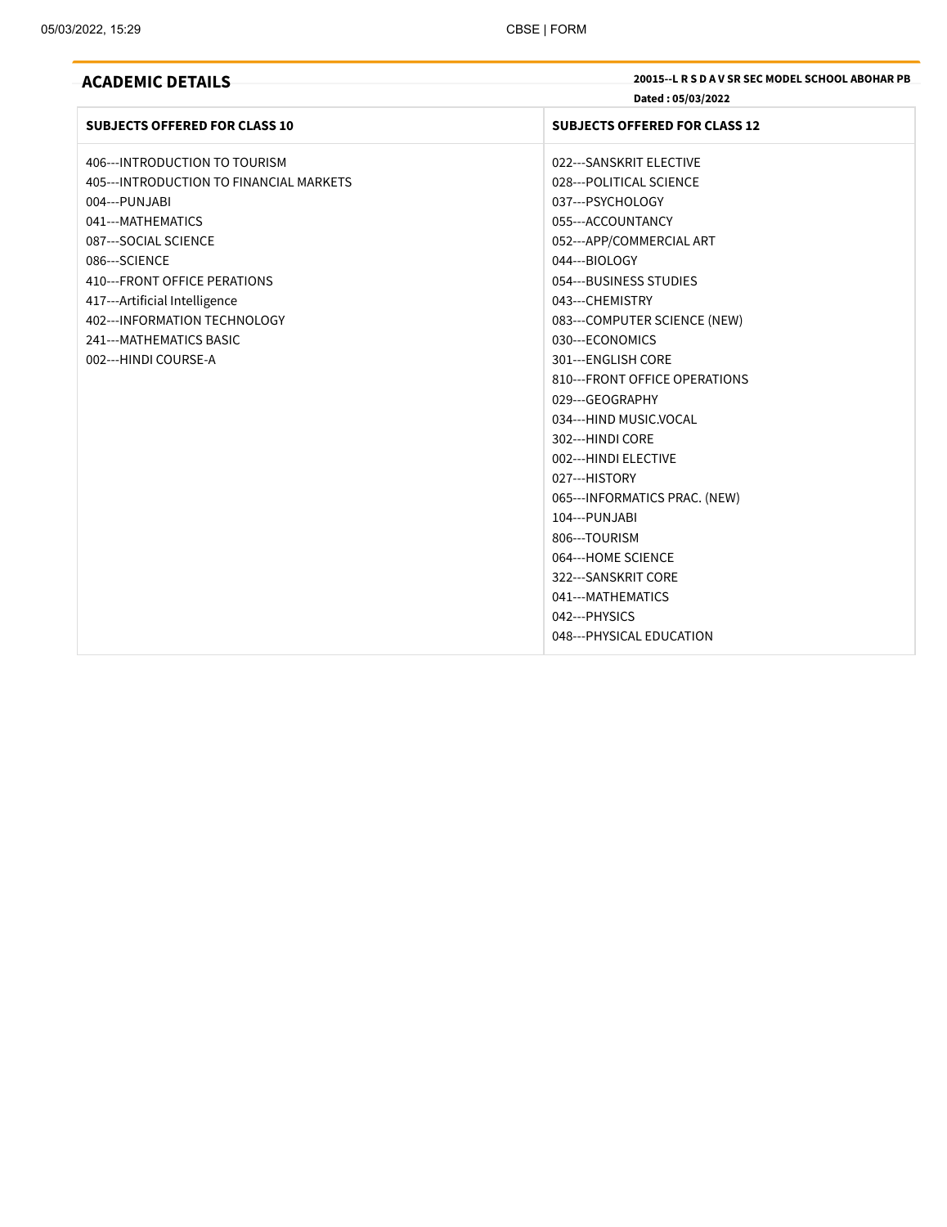**ACADEMIC DETAILS 20015--L R <sup>S</sup> <sup>D</sup> <sup>A</sup> <sup>V</sup> SR SEC MODEL SCHOOL ABOHAR PB Dated : 05/03/2022**

| <b>SUBJECTS OFFERED FOR CLASS 10</b>     | <b>SUBJECTS OFFERED FOR CLASS 12</b> |
|------------------------------------------|--------------------------------------|
| 406--- INTRODUCTION TO TOURISM           | 022---SANSKRIT ELECTIVE              |
| 405--- INTRODUCTION TO FINANCIAL MARKETS | 028--- POLITICAL SCIENCE             |
| 004--- PUNJABI                           | 037---PSYCHOLOGY                     |
| 041---MATHEMATICS                        | 055---ACCOUNTANCY                    |
| 087---SOCIAL SCIENCE                     | 052---APP/COMMERCIAL ART             |
| 086---SCIENCE                            | 044---BIOLOGY                        |
| 410---FRONT OFFICE PERATIONS             | 054---BUSINESS STUDIES               |
| 417---Artificial Intelligence            | 043---CHEMISTRY                      |
| 402--- INFORMATION TECHNOLOGY            | 083---COMPUTER SCIENCE (NEW)         |
| 241--- MATHEMATICS BASIC                 | 030---ECONOMICS                      |
| 002---HINDI COURSE-A                     | 301---ENGLISH CORE                   |
|                                          | 810---FRONT OFFICE OPERATIONS        |
|                                          | 029---GEOGRAPHY                      |
|                                          | 034---HIND MUSIC.VOCAL               |
|                                          | 302---HINDI CORE                     |
|                                          | 002---HINDI ELECTIVE                 |
|                                          | 027---HISTORY                        |
|                                          | 065--- INFORMATICS PRAC. (NEW)       |
|                                          | 104---PUNJABI                        |
|                                          | 806---TOURISM                        |
|                                          | 064---HOME SCIENCE                   |
|                                          | 322---SANSKRIT CORE                  |
|                                          | 041---MATHEMATICS                    |
|                                          | 042--- PHYSICS                       |
|                                          | 048--- PHYSICAL EDUCATION            |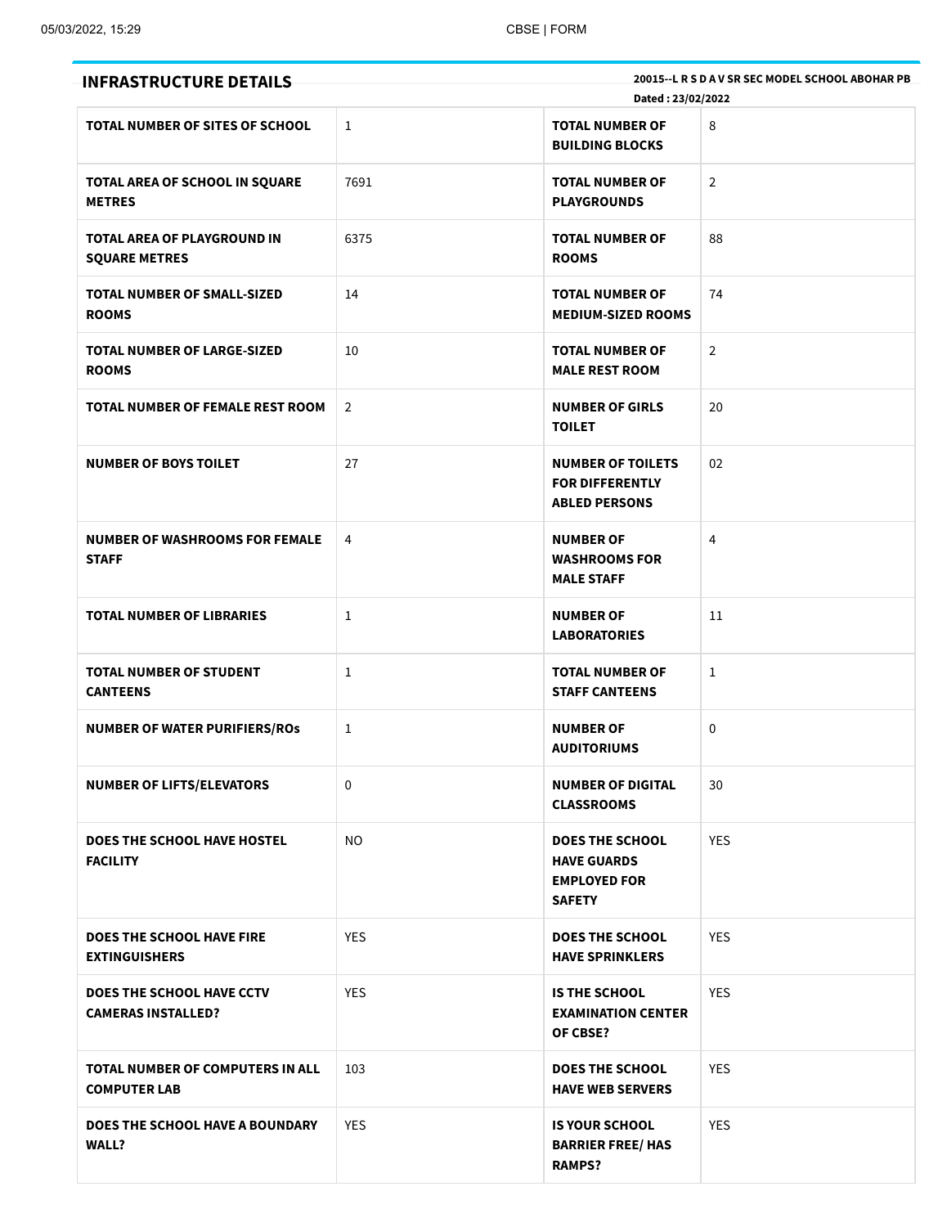| <b>INFRASTRUCTURE DETAILS</b>                                 |                | Dated: 23/02/2022                                                                    | 20015 -- L R S D A V SR SEC MODEL SCHOOL ABOHAR PB |
|---------------------------------------------------------------|----------------|--------------------------------------------------------------------------------------|----------------------------------------------------|
| <b>TOTAL NUMBER OF SITES OF SCHOOL</b>                        | $\mathbf{1}$   | <b>TOTAL NUMBER OF</b><br><b>BUILDING BLOCKS</b>                                     | 8                                                  |
| TOTAL AREA OF SCHOOL IN SQUARE<br><b>METRES</b>               | 7691           | <b>TOTAL NUMBER OF</b><br><b>PLAYGROUNDS</b>                                         | $\overline{2}$                                     |
| TOTAL AREA OF PLAYGROUND IN<br><b>SQUARE METRES</b>           | 6375           | <b>TOTAL NUMBER OF</b><br><b>ROOMS</b>                                               | 88                                                 |
| <b>TOTAL NUMBER OF SMALL-SIZED</b><br><b>ROOMS</b>            | 14             | <b>TOTAL NUMBER OF</b><br><b>MEDIUM-SIZED ROOMS</b>                                  | 74                                                 |
| <b>TOTAL NUMBER OF LARGE-SIZED</b><br><b>ROOMS</b>            | 10             | <b>TOTAL NUMBER OF</b><br><b>MALE REST ROOM</b>                                      | $\overline{2}$                                     |
| TOTAL NUMBER OF FEMALE REST ROOM                              | $\overline{2}$ | <b>NUMBER OF GIRLS</b><br><b>TOILET</b>                                              | 20                                                 |
| <b>NUMBER OF BOYS TOILET</b>                                  | 27             | <b>NUMBER OF TOILETS</b><br><b>FOR DIFFERENTLY</b><br><b>ABLED PERSONS</b>           | 02                                                 |
| <b>NUMBER OF WASHROOMS FOR FEMALE</b><br><b>STAFF</b>         | 4              | <b>NUMBER OF</b><br><b>WASHROOMS FOR</b><br><b>MALE STAFF</b>                        | 4                                                  |
| <b>TOTAL NUMBER OF LIBRARIES</b>                              | 1              | <b>NUMBER OF</b><br><b>LABORATORIES</b>                                              | 11                                                 |
| <b>TOTAL NUMBER OF STUDENT</b><br><b>CANTEENS</b>             | 1              | <b>TOTAL NUMBER OF</b><br><b>STAFF CANTEENS</b>                                      | 1                                                  |
| <b>NUMBER OF WATER PURIFIERS/ROS</b>                          | 1              | <b>NUMBER OF</b><br><b>AUDITORIUMS</b>                                               | $\mathbf 0$                                        |
| <b>NUMBER OF LIFTS/ELEVATORS</b>                              | 0              | <b>NUMBER OF DIGITAL</b><br><b>CLASSROOMS</b>                                        | 30                                                 |
| <b>DOES THE SCHOOL HAVE HOSTEL</b><br><b>FACILITY</b>         | <b>NO</b>      | <b>DOES THE SCHOOL</b><br><b>HAVE GUARDS</b><br><b>EMPLOYED FOR</b><br><b>SAFETY</b> | <b>YES</b>                                         |
| <b>DOES THE SCHOOL HAVE FIRE</b><br><b>EXTINGUISHERS</b>      | <b>YES</b>     | <b>DOES THE SCHOOL</b><br><b>HAVE SPRINKLERS</b>                                     | <b>YES</b>                                         |
| <b>DOES THE SCHOOL HAVE CCTV</b><br><b>CAMERAS INSTALLED?</b> | <b>YES</b>     | <b>IS THE SCHOOL</b><br><b>EXAMINATION CENTER</b><br>OF CBSE?                        | <b>YES</b>                                         |
| TOTAL NUMBER OF COMPUTERS IN ALL<br><b>COMPUTER LAB</b>       | 103            | <b>DOES THE SCHOOL</b><br><b>HAVE WEB SERVERS</b>                                    | <b>YES</b>                                         |
| DOES THE SCHOOL HAVE A BOUNDARY<br><b>WALL?</b>               | <b>YES</b>     | <b>IS YOUR SCHOOL</b><br><b>BARRIER FREE/ HAS</b><br><b>RAMPS?</b>                   | <b>YES</b>                                         |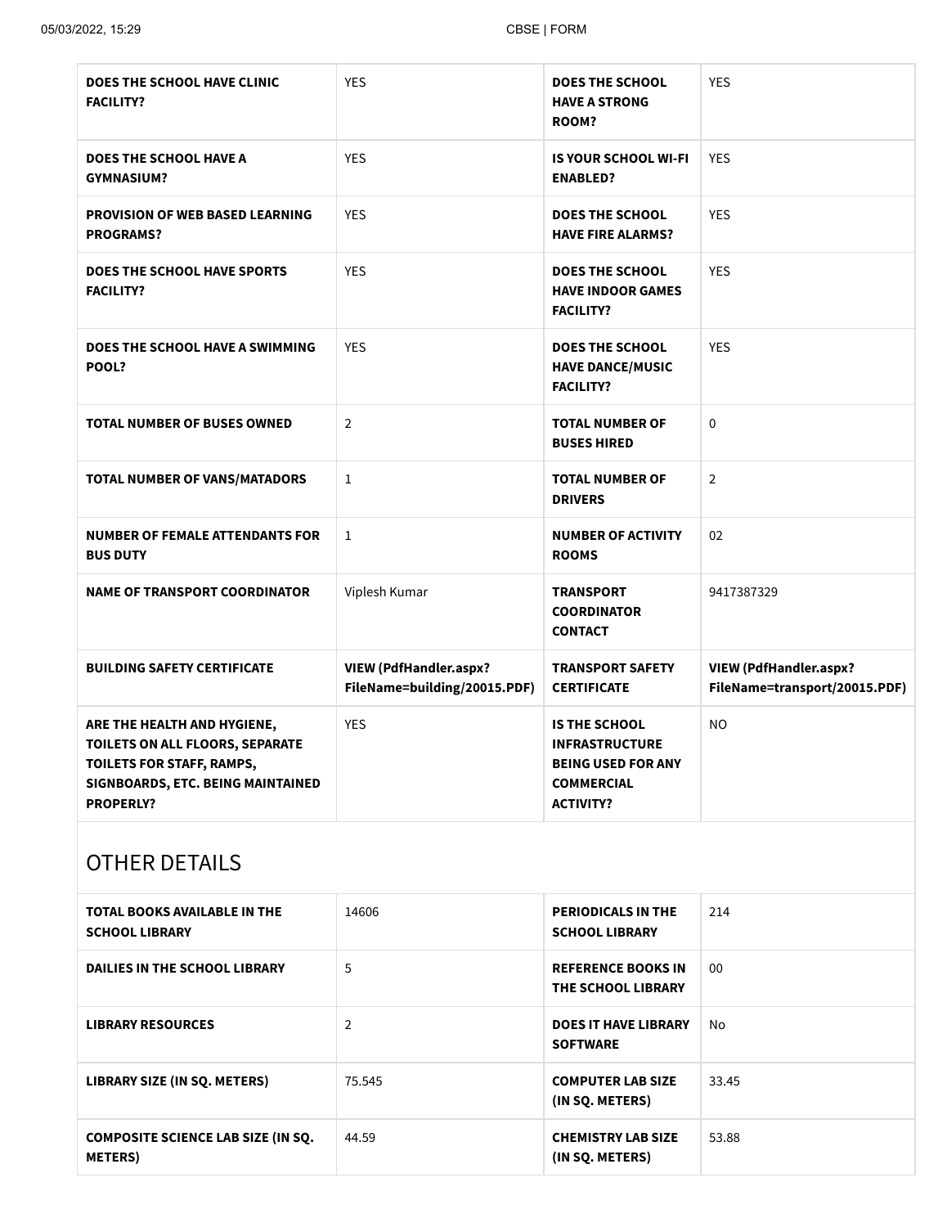| <b>DOES THE SCHOOL HAVE CLINIC</b><br><b>FACILITY?</b>                                                                                               | <b>YES</b>                                                    | <b>DOES THE SCHOOL</b><br><b>HAVE A STRONG</b><br>ROOM?                                                             | <b>YES</b>                                                     |
|------------------------------------------------------------------------------------------------------------------------------------------------------|---------------------------------------------------------------|---------------------------------------------------------------------------------------------------------------------|----------------------------------------------------------------|
| <b>DOES THE SCHOOL HAVE A</b><br><b>GYMNASIUM?</b>                                                                                                   | <b>YES</b>                                                    | <b>IS YOUR SCHOOL WI-FI</b><br><b>ENABLED?</b>                                                                      | <b>YES</b>                                                     |
| <b>PROVISION OF WEB BASED LEARNING</b><br><b>PROGRAMS?</b>                                                                                           | <b>YES</b>                                                    | <b>DOES THE SCHOOL</b><br><b>HAVE FIRE ALARMS?</b>                                                                  | <b>YES</b>                                                     |
| <b>DOES THE SCHOOL HAVE SPORTS</b><br><b>FACILITY?</b>                                                                                               | <b>YES</b>                                                    | <b>DOES THE SCHOOL</b><br><b>HAVE INDOOR GAMES</b><br><b>FACILITY?</b>                                              | <b>YES</b>                                                     |
| DOES THE SCHOOL HAVE A SWIMMING<br>POOL?                                                                                                             | <b>YES</b>                                                    | <b>DOES THE SCHOOL</b><br><b>HAVE DANCE/MUSIC</b><br><b>FACILITY?</b>                                               | <b>YES</b>                                                     |
| <b>TOTAL NUMBER OF BUSES OWNED</b>                                                                                                                   | $\overline{2}$                                                | <b>TOTAL NUMBER OF</b><br><b>BUSES HIRED</b>                                                                        | $\mathbf 0$                                                    |
| TOTAL NUMBER OF VANS/MATADORS                                                                                                                        | $\mathbf{1}$                                                  | <b>TOTAL NUMBER OF</b><br><b>DRIVERS</b>                                                                            | $\overline{2}$                                                 |
| <b>NUMBER OF FEMALE ATTENDANTS FOR</b><br><b>BUS DUTY</b>                                                                                            | $\mathbf{1}$                                                  | <b>NUMBER OF ACTIVITY</b><br><b>ROOMS</b>                                                                           | 02                                                             |
| <b>NAME OF TRANSPORT COORDINATOR</b>                                                                                                                 | Viplesh Kumar                                                 | <b>TRANSPORT</b><br><b>COORDINATOR</b><br><b>CONTACT</b>                                                            | 9417387329                                                     |
| <b>BUILDING SAFETY CERTIFICATE</b>                                                                                                                   | <b>VIEW (PdfHandler.aspx?</b><br>FileName=building/20015.PDF) | <b>TRANSPORT SAFETY</b><br><b>CERTIFICATE</b>                                                                       | <b>VIEW (PdfHandler.aspx?</b><br>FileName=transport/20015.PDF) |
| ARE THE HEALTH AND HYGIENE,<br>TOILETS ON ALL FLOORS, SEPARATE<br>TOILETS FOR STAFF, RAMPS,<br>SIGNBOARDS, ETC. BEING MAINTAINED<br><b>PROPERLY?</b> | <b>YES</b>                                                    | <b>IS THE SCHOOL</b><br><b>INFRASTRUCTURE</b><br><b>BEING USED FOR ANY</b><br><b>COMMERCIAL</b><br><b>ACTIVITY?</b> | <b>NO</b>                                                      |

# OTHER DETAILS

| TOTAL BOOKS AVAILABLE IN THE<br><b>SCHOOL LIBRARY</b>        | 14606  | <b>PERIODICALS IN THE</b><br><b>SCHOOL LIBRARY</b> | 214   |
|--------------------------------------------------------------|--------|----------------------------------------------------|-------|
| <b>DAILIES IN THE SCHOOL LIBRARY</b>                         | 5      | <b>REFERENCE BOOKS IN</b><br>THE SCHOOL LIBRARY    | 00    |
| <b>LIBRARY RESOURCES</b>                                     | 2      | <b>DOES IT HAVE LIBRARY</b><br><b>SOFTWARE</b>     | No    |
| LIBRARY SIZE (IN SQ. METERS)                                 | 75.545 | <b>COMPUTER LAB SIZE</b><br>(IN SQ. METERS)        | 33.45 |
| <b>COMPOSITE SCIENCE LAB SIZE (IN SO.</b><br><b>METERS</b> ) | 44.59  | <b>CHEMISTRY LAB SIZE</b><br>(IN SO. METERS)       | 53.88 |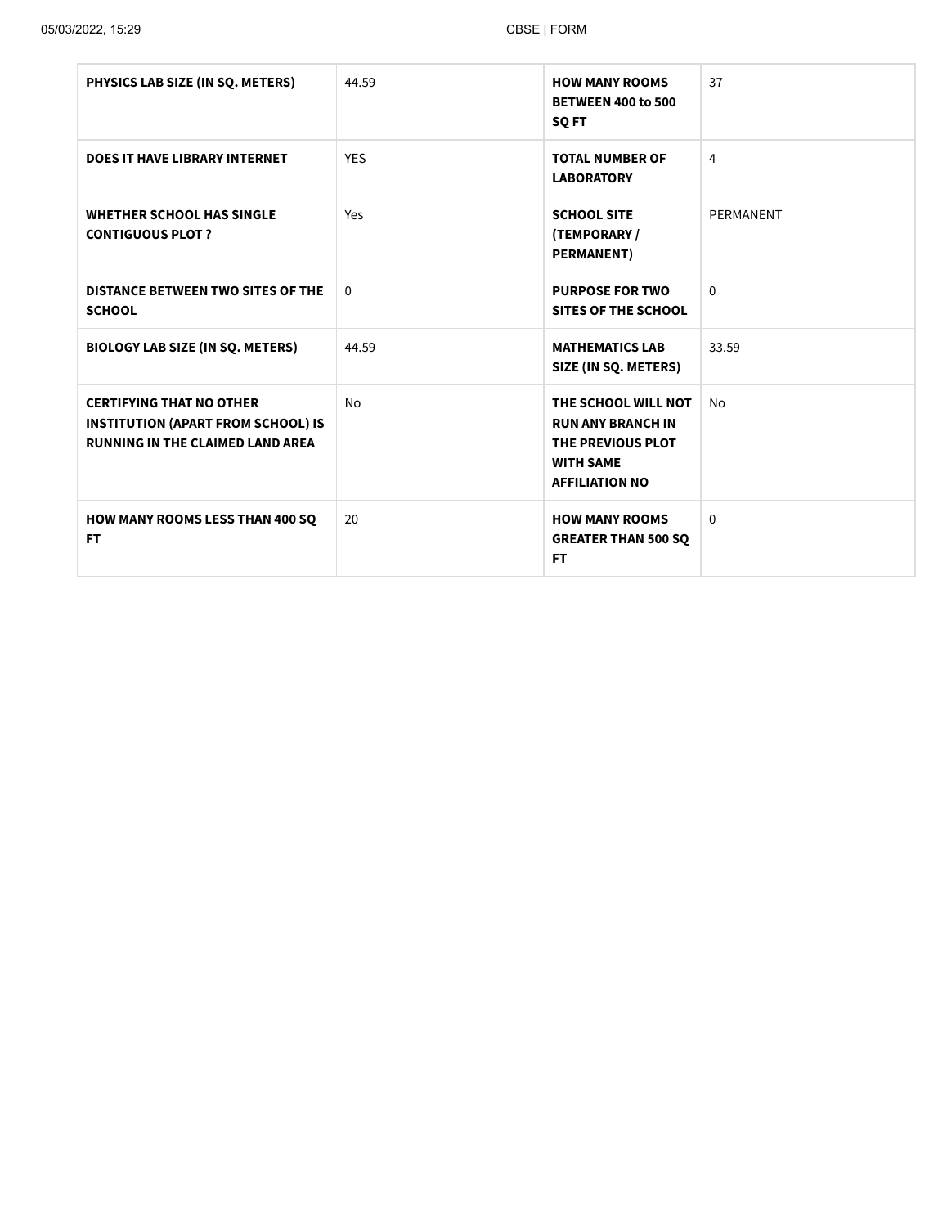| PHYSICS LAB SIZE (IN SQ. METERS)                                                                                        | 44.59      | <b>HOW MANY ROOMS</b><br><b>BETWEEN 400 to 500</b><br>SQ FT                                                       | 37           |
|-------------------------------------------------------------------------------------------------------------------------|------------|-------------------------------------------------------------------------------------------------------------------|--------------|
| <b>DOES IT HAVE LIBRARY INTERNET</b>                                                                                    | <b>YES</b> | <b>TOTAL NUMBER OF</b><br><b>LABORATORY</b>                                                                       | 4            |
| <b>WHETHER SCHOOL HAS SINGLE</b><br><b>CONTIGUOUS PLOT ?</b>                                                            | Yes        | <b>SCHOOL SITE</b><br>(TEMPORARY/<br><b>PERMANENT</b> )                                                           | PERMANENT    |
| <b>DISTANCE BETWEEN TWO SITES OF THE</b><br><b>SCHOOL</b>                                                               | $\Omega$   | <b>PURPOSE FOR TWO</b><br><b>SITES OF THE SCHOOL</b>                                                              | $\Omega$     |
| <b>BIOLOGY LAB SIZE (IN SQ. METERS)</b>                                                                                 | 44.59      | <b>MATHEMATICS LAB</b><br>SIZE (IN SQ. METERS)                                                                    | 33.59        |
| <b>CERTIFYING THAT NO OTHER</b><br><b>INSTITUTION (APART FROM SCHOOL) IS</b><br><b>RUNNING IN THE CLAIMED LAND AREA</b> | No         | THE SCHOOL WILL NOT<br><b>RUN ANY BRANCH IN</b><br>THE PREVIOUS PLOT<br><b>WITH SAME</b><br><b>AFFILIATION NO</b> | No           |
| <b>HOW MANY ROOMS LESS THAN 400 SQ</b><br>FT.                                                                           | 20         | <b>HOW MANY ROOMS</b><br><b>GREATER THAN 500 SQ</b><br><b>FT</b>                                                  | $\mathbf{0}$ |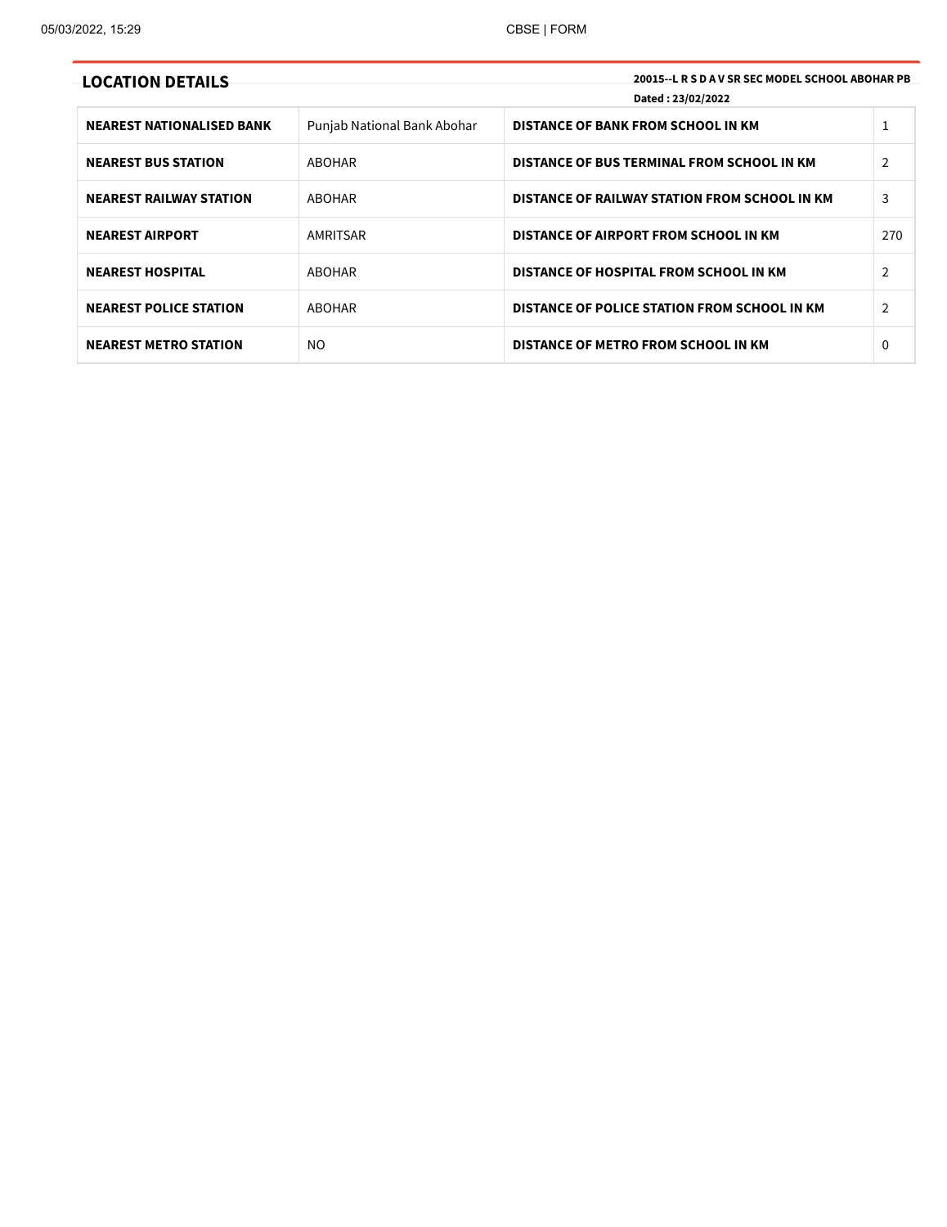| <b>LOCATION DETAILS</b>          |                             | 20015 - L R S D A V SR SEC MODEL SCHOOL ABOHAR PB<br>Dated: 23/02/2022 |                |
|----------------------------------|-----------------------------|------------------------------------------------------------------------|----------------|
| <b>NEAREST NATIONALISED BANK</b> | Punjab National Bank Abohar | DISTANCE OF BANK FROM SCHOOL IN KM                                     |                |
| <b>NEAREST BUS STATION</b>       | ABOHAR                      | DISTANCE OF BUS TERMINAL FROM SCHOOL IN KM                             | $\overline{2}$ |
| <b>NEAREST RAILWAY STATION</b>   | ABOHAR                      | DISTANCE OF RAILWAY STATION FROM SCHOOL IN KM                          | 3              |
| <b>NEAREST AIRPORT</b>           | AMRITSAR                    | DISTANCE OF AIRPORT FROM SCHOOL IN KM                                  | 270            |
| <b>NEAREST HOSPITAL</b>          | <b>ABOHAR</b>               | DISTANCE OF HOSPITAL FROM SCHOOL IN KM                                 | $\overline{2}$ |
| <b>NEAREST POLICE STATION</b>    | ABOHAR                      | DISTANCE OF POLICE STATION FROM SCHOOL IN KM                           | 2              |
| <b>NEAREST METRO STATION</b>     | NO                          | DISTANCE OF METRO FROM SCHOOL IN KM                                    | 0              |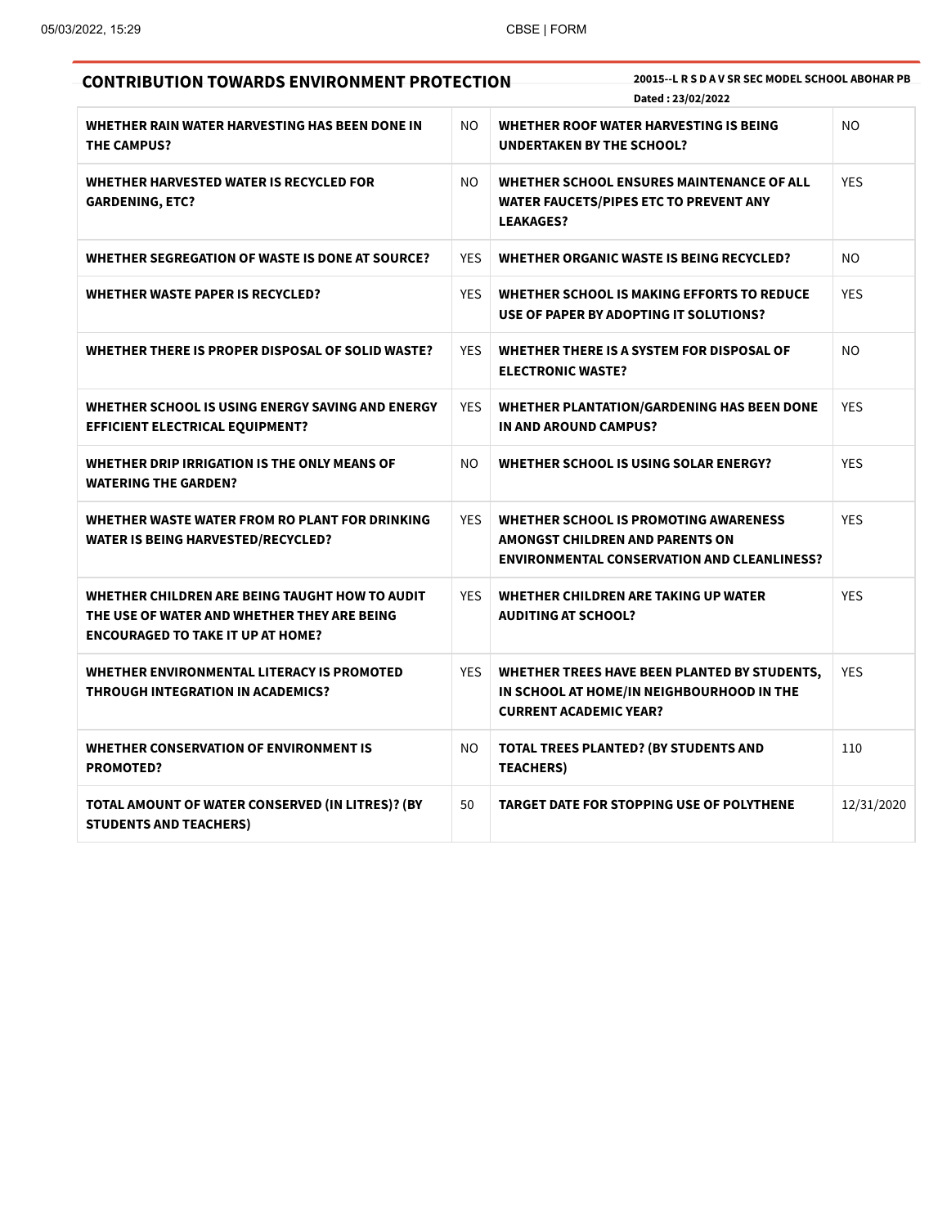| <b>CONTRIBUTION TOWARDS ENVIRONMENT PROTECTION</b>                                                                                        |                | 20015 -- L R S D A V SR SEC MODEL SCHOOL ABOHAR PB<br>Dated: 23/02/2022                                                                      |            |
|-------------------------------------------------------------------------------------------------------------------------------------------|----------------|----------------------------------------------------------------------------------------------------------------------------------------------|------------|
| WHETHER RAIN WATER HARVESTING HAS BEEN DONE IN<br><b>THE CAMPUS?</b>                                                                      | N <sub>O</sub> | WHETHER ROOF WATER HARVESTING IS BEING<br><b>UNDERTAKEN BY THE SCHOOL?</b>                                                                   | NO.        |
| WHETHER HARVESTED WATER IS RECYCLED FOR<br><b>GARDENING, ETC?</b>                                                                         | NO.            | WHETHER SCHOOL ENSURES MAINTENANCE OF ALL<br><b>WATER FAUCETS/PIPES ETC TO PREVENT ANY</b><br><b>LEAKAGES?</b>                               | <b>YES</b> |
| WHETHER SEGREGATION OF WASTE IS DONE AT SOURCE?                                                                                           | <b>YES</b>     | WHETHER ORGANIC WASTE IS BEING RECYCLED?                                                                                                     | NO.        |
| WHETHER WASTE PAPER IS RECYCLED?                                                                                                          | <b>YES</b>     | WHETHER SCHOOL IS MAKING EFFORTS TO REDUCE<br>USE OF PAPER BY ADOPTING IT SOLUTIONS?                                                         | <b>YES</b> |
| WHETHER THERE IS PROPER DISPOSAL OF SOLID WASTE?                                                                                          | <b>YES</b>     | WHETHER THERE IS A SYSTEM FOR DISPOSAL OF<br><b>ELECTRONIC WASTE?</b>                                                                        | NO.        |
| WHETHER SCHOOL IS USING ENERGY SAVING AND ENERGY<br><b>EFFICIENT ELECTRICAL EQUIPMENT?</b>                                                | <b>YES</b>     | <b>WHETHER PLANTATION/GARDENING HAS BEEN DONE</b><br>IN AND AROUND CAMPUS?                                                                   | <b>YES</b> |
| WHETHER DRIP IRRIGATION IS THE ONLY MEANS OF<br><b>WATERING THE GARDEN?</b>                                                               | NO.            | <b>WHETHER SCHOOL IS USING SOLAR ENERGY?</b>                                                                                                 | <b>YES</b> |
| WHETHER WASTE WATER FROM RO PLANT FOR DRINKING<br><b>WATER IS BEING HARVESTED/RECYCLED?</b>                                               | <b>YES</b>     | <b>WHETHER SCHOOL IS PROMOTING AWARENESS</b><br><b>AMONGST CHILDREN AND PARENTS ON</b><br><b>ENVIRONMENTAL CONSERVATION AND CLEANLINESS?</b> | <b>YES</b> |
| WHETHER CHILDREN ARE BEING TAUGHT HOW TO AUDIT<br>THE USE OF WATER AND WHETHER THEY ARE BEING<br><b>ENCOURAGED TO TAKE IT UP AT HOME?</b> | YES.           | WHETHER CHILDREN ARE TAKING UP WATER<br><b>AUDITING AT SCHOOL?</b>                                                                           | <b>YES</b> |
| WHETHER ENVIRONMENTAL LITERACY IS PROMOTED<br>THROUGH INTEGRATION IN ACADEMICS?                                                           | <b>YES</b>     | WHETHER TREES HAVE BEEN PLANTED BY STUDENTS,<br>IN SCHOOL AT HOME/IN NEIGHBOURHOOD IN THE<br><b>CURRENT ACADEMIC YEAR?</b>                   | <b>YES</b> |
| <b>WHETHER CONSERVATION OF ENVIRONMENT IS</b><br><b>PROMOTED?</b>                                                                         | NO.            | <b>TOTAL TREES PLANTED? (BY STUDENTS AND</b><br><b>TEACHERS)</b>                                                                             | 110        |
| TOTAL AMOUNT OF WATER CONSERVED (IN LITRES)? (BY<br><b>STUDENTS AND TEACHERS)</b>                                                         | 50             | <b>TARGET DATE FOR STOPPING USE OF POLYTHENE</b>                                                                                             | 12/31/2020 |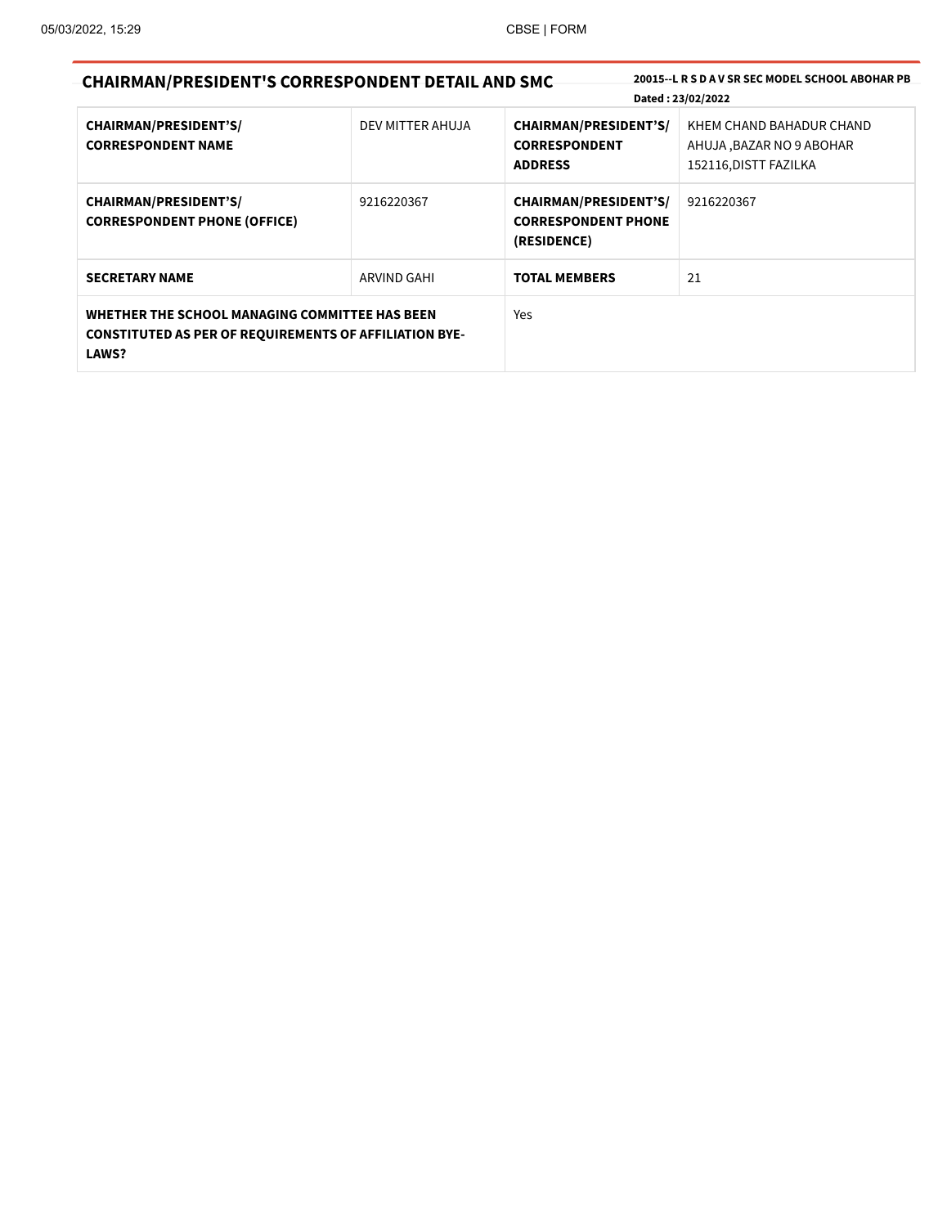| <b>CHAIRMAN/PRESIDENT'S CORRESPONDENT DETAIL AND SMC</b>                                                                        |                  |                                                                           | 20015 - L R S D A V SR SEC MODEL SCHOOL ABOHAR PB                             |
|---------------------------------------------------------------------------------------------------------------------------------|------------------|---------------------------------------------------------------------------|-------------------------------------------------------------------------------|
|                                                                                                                                 |                  |                                                                           | Dated: 23/02/2022                                                             |
| <b>CHAIRMAN/PRESIDENT'S/</b><br><b>CORRESPONDENT NAME</b>                                                                       | DEV MITTER AHUJA | <b>CHAIRMAN/PRESIDENT'S/</b><br><b>CORRESPONDENT</b><br><b>ADDRESS</b>    | KHEM CHAND BAHADUR CHAND<br>AHUJA, BAZAR NO 9 ABOHAR<br>152116, DISTT FAZILKA |
| <b>CHAIRMAN/PRESIDENT'S/</b><br><b>CORRESPONDENT PHONE (OFFICE)</b>                                                             | 9216220367       | <b>CHAIRMAN/PRESIDENT'S/</b><br><b>CORRESPONDENT PHONE</b><br>(RESIDENCE) | 9216220367                                                                    |
| <b>SECRETARY NAME</b>                                                                                                           | ARVIND GAHI      | <b>TOTAL MEMBERS</b>                                                      | 21                                                                            |
| WHETHER THE SCHOOL MANAGING COMMITTEE HAS BEEN<br><b>CONSTITUTED AS PER OF REQUIREMENTS OF AFFILIATION BYE-</b><br><b>LAWS?</b> |                  | <b>Yes</b>                                                                |                                                                               |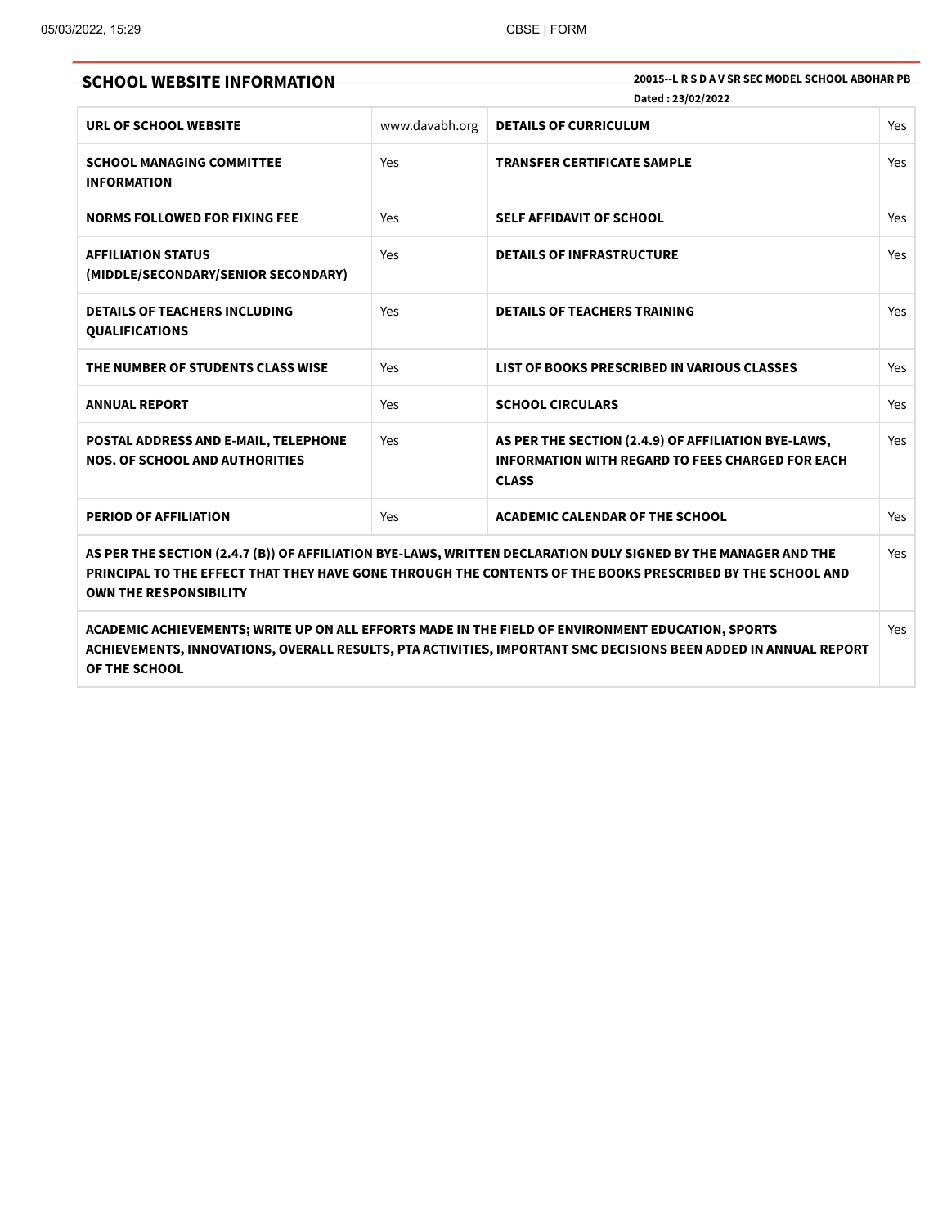| <b>SCHOOL WEBSITE INFORMATION</b>                                                                                                                                                                                                                             |                | 20015 - L R S D A V SR SEC MODEL SCHOOL ABOHAR PB<br>Dated: 23/02/2022                                                         |            |  |
|---------------------------------------------------------------------------------------------------------------------------------------------------------------------------------------------------------------------------------------------------------------|----------------|--------------------------------------------------------------------------------------------------------------------------------|------------|--|
| URL OF SCHOOL WEBSITE                                                                                                                                                                                                                                         | www.davabh.org | <b>DETAILS OF CURRICULUM</b>                                                                                                   | Yes        |  |
| <b>SCHOOL MANAGING COMMITTEE</b><br><b>INFORMATION</b>                                                                                                                                                                                                        | Yes            | <b>TRANSFER CERTIFICATE SAMPLE</b>                                                                                             | <b>Yes</b> |  |
| <b>NORMS FOLLOWED FOR FIXING FEE</b>                                                                                                                                                                                                                          | Yes            | <b>SELF AFFIDAVIT OF SCHOOL</b>                                                                                                | Yes        |  |
| <b>AFFILIATION STATUS</b><br>(MIDDLE/SECONDARY/SENIOR SECONDARY)                                                                                                                                                                                              | Yes            | <b>DETAILS OF INFRASTRUCTURE</b>                                                                                               | Yes        |  |
| <b>DETAILS OF TEACHERS INCLUDING</b><br><b>QUALIFICATIONS</b>                                                                                                                                                                                                 | Yes            | <b>DETAILS OF TEACHERS TRAINING</b>                                                                                            | Yes        |  |
| THE NUMBER OF STUDENTS CLASS WISE                                                                                                                                                                                                                             | Yes            | LIST OF BOOKS PRESCRIBED IN VARIOUS CLASSES                                                                                    | Yes        |  |
| <b>ANNUAL REPORT</b>                                                                                                                                                                                                                                          | Yes            | <b>SCHOOL CIRCULARS</b>                                                                                                        | Yes        |  |
| POSTAL ADDRESS AND E-MAIL, TELEPHONE<br><b>NOS. OF SCHOOL AND AUTHORITIES</b>                                                                                                                                                                                 | Yes            | AS PER THE SECTION (2.4.9) OF AFFILIATION BYE-LAWS,<br><b>INFORMATION WITH REGARD TO FEES CHARGED FOR EACH</b><br><b>CLASS</b> | Yes        |  |
| <b>PERIOD OF AFFILIATION</b>                                                                                                                                                                                                                                  | Yes            | <b>ACADEMIC CALENDAR OF THE SCHOOL</b>                                                                                         | Yes        |  |
| AS PER THE SECTION (2.4.7 (B)) OF AFFILIATION BYE-LAWS, WRITTEN DECLARATION DULY SIGNED BY THE MANAGER AND THE<br>PRINCIPAL TO THE EFFECT THAT THEY HAVE GONE THROUGH THE CONTENTS OF THE BOOKS PRESCRIBED BY THE SCHOOL AND<br><b>OWN THE RESPONSIBILITY</b> |                |                                                                                                                                |            |  |
| ACADEMIC ACHIEVEMENTS; WRITE UP ON ALL EFFORTS MADE IN THE FIELD OF ENVIRONMENT EDUCATION, SPORTS<br>ACHIEVEMENTS, INNOVATIONS, OVERALL RESULTS, PTA ACTIVITIES, IMPORTANT SMC DECISIONS BEEN ADDED IN ANNUAL REPORT<br>OF THE SCHOOL                         |                |                                                                                                                                |            |  |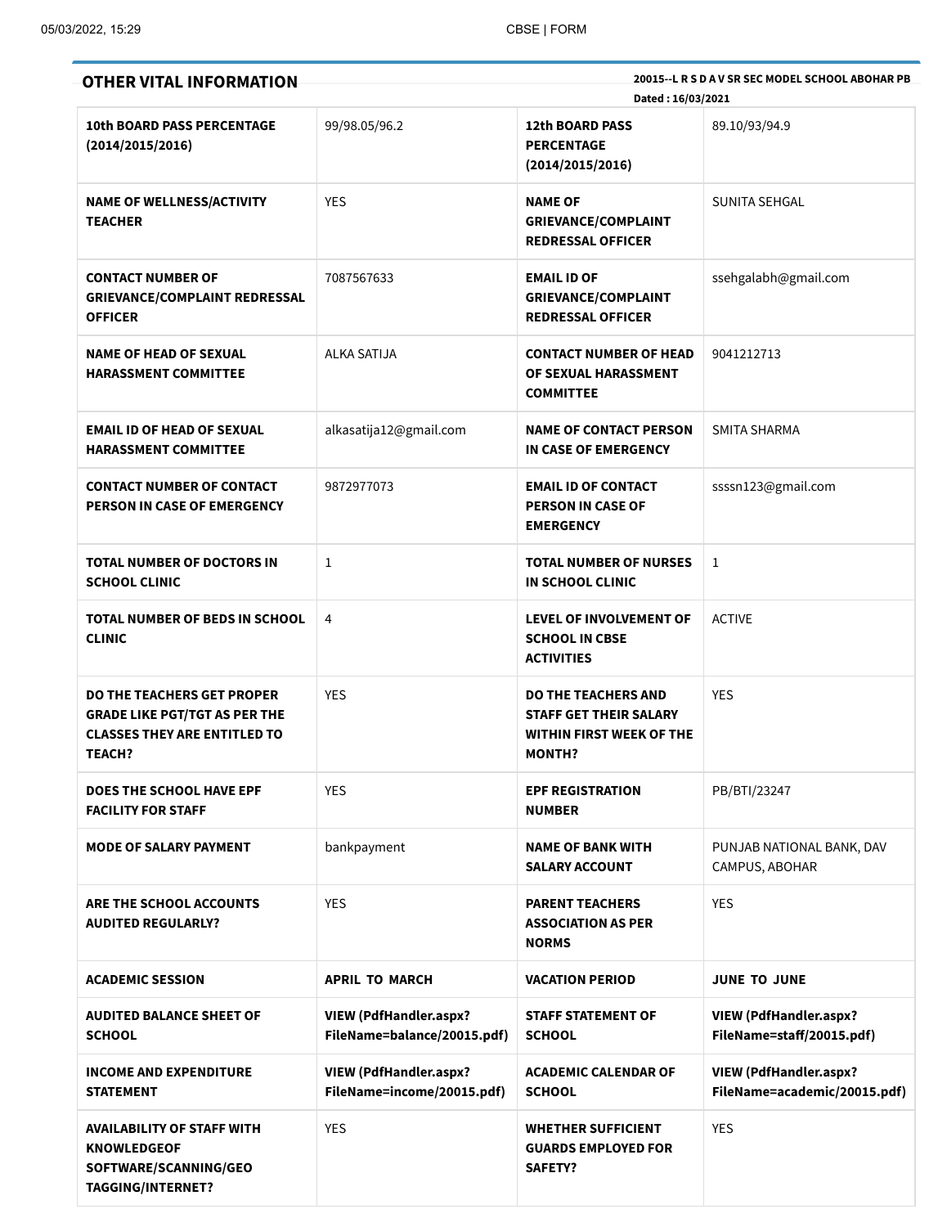| <b>OTHER VITAL INFORMATION</b>                                                                                                    |                                                              | 20015 -- L R S D A V SR SEC MODEL SCHOOL ABOHAR PB<br>Dated: 16/03/2021                                         |                                                               |  |
|-----------------------------------------------------------------------------------------------------------------------------------|--------------------------------------------------------------|-----------------------------------------------------------------------------------------------------------------|---------------------------------------------------------------|--|
| <b>10th BOARD PASS PERCENTAGE</b><br>(2014/2015/2016)                                                                             | 99/98.05/96.2                                                | <b>12th BOARD PASS</b><br><b>PERCENTAGE</b><br>(2014/2015/2016)                                                 | 89.10/93/94.9                                                 |  |
| <b>NAME OF WELLNESS/ACTIVITY</b><br><b>TEACHER</b>                                                                                | <b>YES</b>                                                   | <b>NAME OF</b><br><b>GRIEVANCE/COMPLAINT</b><br><b>REDRESSAL OFFICER</b>                                        | SUNITA SEHGAL                                                 |  |
| <b>CONTACT NUMBER OF</b><br><b>GRIEVANCE/COMPLAINT REDRESSAL</b><br><b>OFFICER</b>                                                | 7087567633                                                   | <b>EMAIL ID OF</b><br><b>GRIEVANCE/COMPLAINT</b><br><b>REDRESSAL OFFICER</b>                                    | ssehgalabh@gmail.com                                          |  |
| <b>NAME OF HEAD OF SEXUAL</b><br><b>HARASSMENT COMMITTEE</b>                                                                      | ALKA SATIJA                                                  | <b>CONTACT NUMBER OF HEAD</b><br>OF SEXUAL HARASSMENT<br><b>COMMITTEE</b>                                       | 9041212713                                                    |  |
| <b>EMAIL ID OF HEAD OF SEXUAL</b><br><b>HARASSMENT COMMITTEE</b>                                                                  | alkasatija12@gmail.com                                       | <b>NAME OF CONTACT PERSON</b><br>IN CASE OF EMERGENCY                                                           | <b>SMITA SHARMA</b>                                           |  |
| <b>CONTACT NUMBER OF CONTACT</b><br>PERSON IN CASE OF EMERGENCY                                                                   | 9872977073                                                   | <b>EMAIL ID OF CONTACT</b><br><b>PERSON IN CASE OF</b><br><b>EMERGENCY</b>                                      | ssssn123@gmail.com                                            |  |
| <b>TOTAL NUMBER OF DOCTORS IN</b><br><b>SCHOOL CLINIC</b>                                                                         | 1                                                            | <b>TOTAL NUMBER OF NURSES</b><br>IN SCHOOL CLINIC                                                               | 1                                                             |  |
| TOTAL NUMBER OF BEDS IN SCHOOL<br><b>CLINIC</b>                                                                                   | $\overline{4}$                                               | <b>LEVEL OF INVOLVEMENT OF</b><br><b>SCHOOL IN CBSE</b><br><b>ACTIVITIES</b>                                    | <b>ACTIVE</b>                                                 |  |
| <b>DO THE TEACHERS GET PROPER</b><br><b>GRADE LIKE PGT/TGT AS PER THE</b><br><b>CLASSES THEY ARE ENTITLED TO</b><br><b>TEACH?</b> | <b>YES</b>                                                   | <b>DO THE TEACHERS AND</b><br><b>STAFF GET THEIR SALARY</b><br><b>WITHIN FIRST WEEK OF THE</b><br><b>MONTH?</b> | <b>YES</b>                                                    |  |
| <b>DOES THE SCHOOL HAVE EPF</b><br><b>FACILITY FOR STAFF</b>                                                                      | <b>YES</b>                                                   | <b>EPF REGISTRATION</b><br><b>NUMBER</b>                                                                        | PB/BTI/23247                                                  |  |
| <b>MODE OF SALARY PAYMENT</b>                                                                                                     | bankpayment                                                  | <b>NAME OF BANK WITH</b><br><b>SALARY ACCOUNT</b>                                                               | PUNJAB NATIONAL BANK, DAV<br>CAMPUS, ABOHAR                   |  |
| ARE THE SCHOOL ACCOUNTS<br><b>AUDITED REGULARLY?</b>                                                                              | <b>YES</b>                                                   | <b>PARENT TEACHERS</b><br><b>ASSOCIATION AS PER</b><br><b>NORMS</b>                                             | <b>YES</b>                                                    |  |
| <b>ACADEMIC SESSION</b>                                                                                                           | <b>APRIL TO MARCH</b>                                        | <b>VACATION PERIOD</b>                                                                                          | <b>JUNE TO JUNE</b>                                           |  |
| <b>AUDITED BALANCE SHEET OF</b><br><b>SCHOOL</b>                                                                                  | <b>VIEW (PdfHandler.aspx?</b><br>FileName=balance/20015.pdf) | <b>STAFF STATEMENT OF</b><br><b>SCHOOL</b>                                                                      | <b>VIEW (PdfHandler.aspx?</b><br>FileName=staff/20015.pdf)    |  |
| <b>INCOME AND EXPENDITURE</b><br><b>STATEMENT</b>                                                                                 | <b>VIEW (PdfHandler.aspx?</b><br>FileName=income/20015.pdf)  | <b>ACADEMIC CALENDAR OF</b><br><b>SCHOOL</b>                                                                    | <b>VIEW (PdfHandler.aspx?</b><br>FileName=academic/20015.pdf) |  |
| <b>AVAILABILITY OF STAFF WITH</b><br><b>KNOWLEDGEOF</b><br>SOFTWARE/SCANNING/GEO<br><b>TAGGING/INTERNET?</b>                      | <b>YES</b>                                                   | <b>WHETHER SUFFICIENT</b><br><b>GUARDS EMPLOYED FOR</b><br><b>SAFETY?</b>                                       | <b>YES</b>                                                    |  |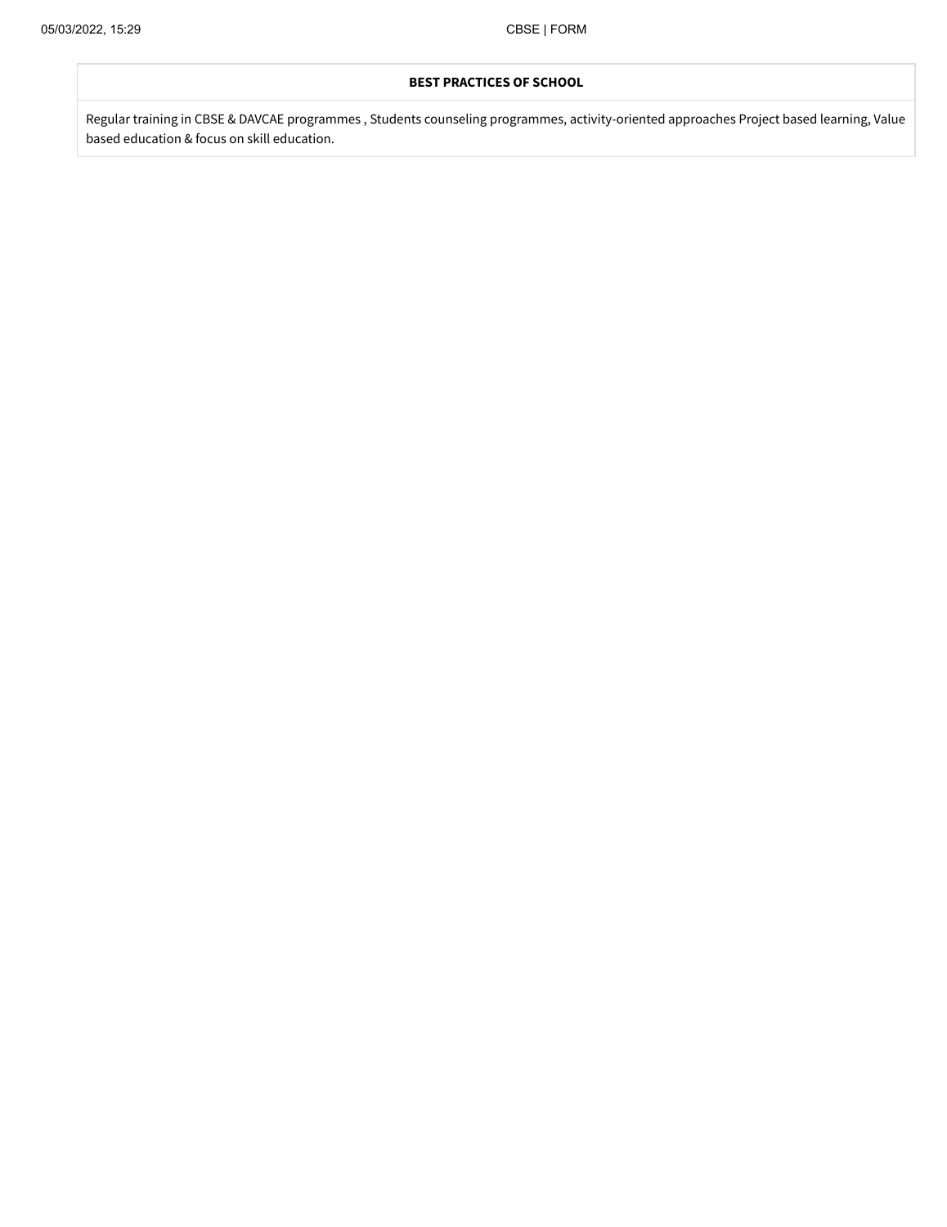## **BEST PRACTICES OF SCHOOL**

Regular training in CBSE & DAVCAE programmes , Students counseling programmes, activity-oriented approaches Project based learning, Value based education & focus on skill education.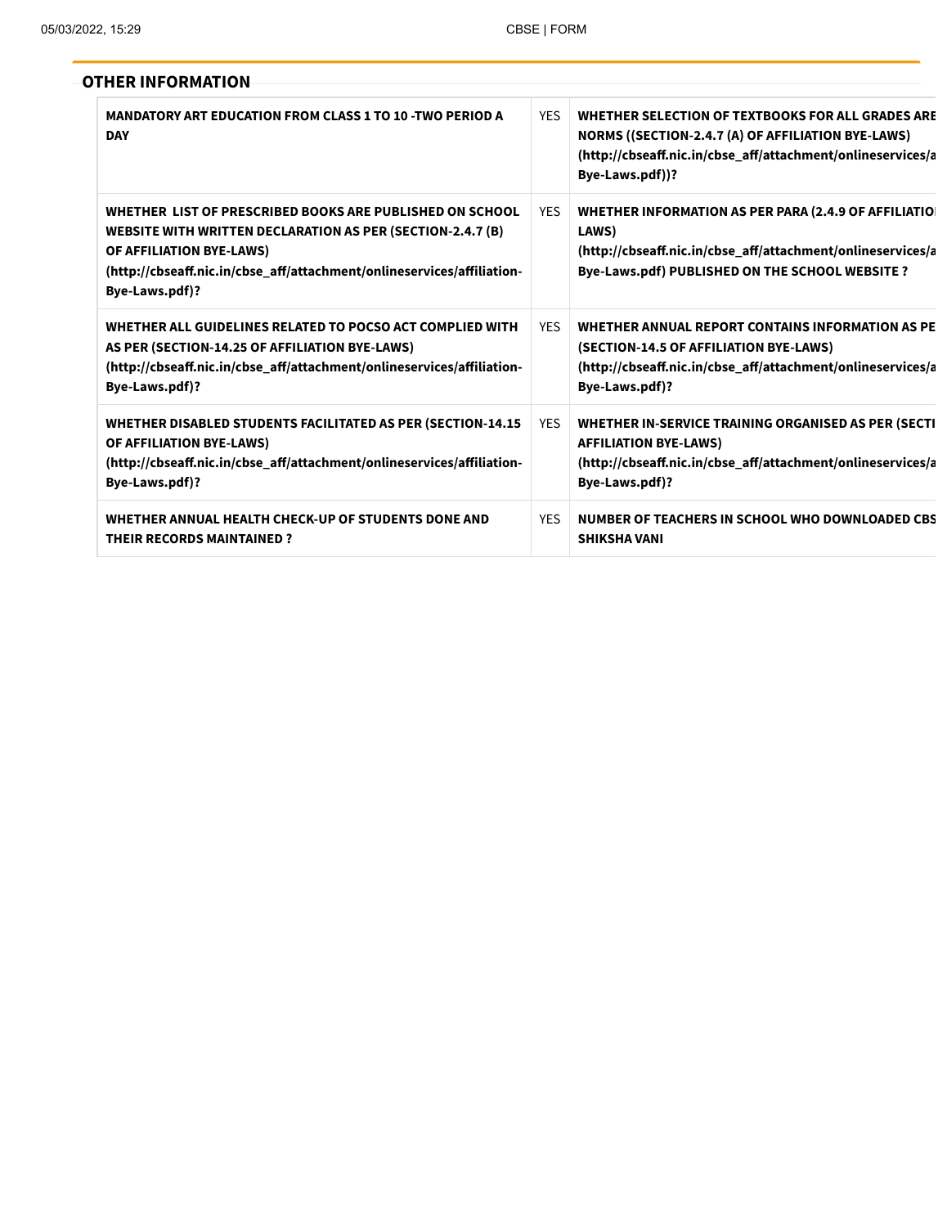# **OTHER INFORMATION**

| <b>MANDATORY ART EDUCATION FROM CLASS 1 TO 10 -TWO PERIOD A</b><br><b>DAY</b>                                                                                                                                                                         | <b>YFS</b> | WHETHER SELECTION OF TEXTBOOKS FOR ALL GRADES ARE<br>NORMS ((SECTION-2.4.7 (A) OF AFFILIATION BYE-LAWS)<br>(http://cbseaff.nic.in/cbse_aff/attachment/onlineservices/a<br>Bye-Laws.pdf))? |
|-------------------------------------------------------------------------------------------------------------------------------------------------------------------------------------------------------------------------------------------------------|------------|-------------------------------------------------------------------------------------------------------------------------------------------------------------------------------------------|
| WHETHER LIST OF PRESCRIBED BOOKS ARE PUBLISHED ON SCHOOL<br><b>WEBSITE WITH WRITTEN DECLARATION AS PER (SECTION-2.4.7 (B)</b><br>OF AFFILIATION BYE-LAWS)<br>(http://cbseaff.nic.in/cbse_aff/attachment/onlineservices/affiliation-<br>Bye-Laws.pdf)? | <b>YES</b> | WHETHER INFORMATION AS PER PARA (2.4.9 OF AFFILIATIO)<br>LAWS)<br>(http://cbseaff.nic.in/cbse_aff/attachment/onlineservices/a<br>Bye-Laws.pdf) PUBLISHED ON THE SCHOOL WEBSITE ?          |
| WHETHER ALL GUIDELINES RELATED TO POCSO ACT COMPLIED WITH<br>AS PER (SECTION-14.25 OF AFFILIATION BYE-LAWS)<br>(http://cbseaff.nic.in/cbse_aff/attachment/onlineservices/affiliation-<br>Bye-Laws.pdf)?                                               | <b>YES</b> | WHETHER ANNUAL REPORT CONTAINS INFORMATION AS PE<br>(SECTION-14.5 OF AFFILIATION BYE-LAWS)<br>(http://cbseaff.nic.in/cbse_aff/attachment/onlineservices/a<br>Bye-Laws.pdf)?               |
| WHETHER DISABLED STUDENTS FACILITATED AS PER (SECTION-14.15)<br><b>OF AFFILIATION BYE-LAWS)</b><br>(http://cbseaff.nic.in/cbse_aff/attachment/onlineservices/affiliation-<br>Bye-Laws.pdf)?                                                           | <b>YES</b> | WHETHER IN-SERVICE TRAINING ORGANISED AS PER (SECTI<br><b>AFFILIATION BYE-LAWS)</b><br>(http://cbseaff.nic.in/cbse_aff/attachment/onlineservices/a<br>Bye-Laws.pdf)?                      |
| WHETHER ANNUAL HEALTH CHECK-UP OF STUDENTS DONE AND<br><b>THEIR RECORDS MAINTAINED?</b>                                                                                                                                                               | <b>YES</b> | NUMBER OF TEACHERS IN SCHOOL WHO DOWNLOADED CBS<br><b>SHIKSHA VANI</b>                                                                                                                    |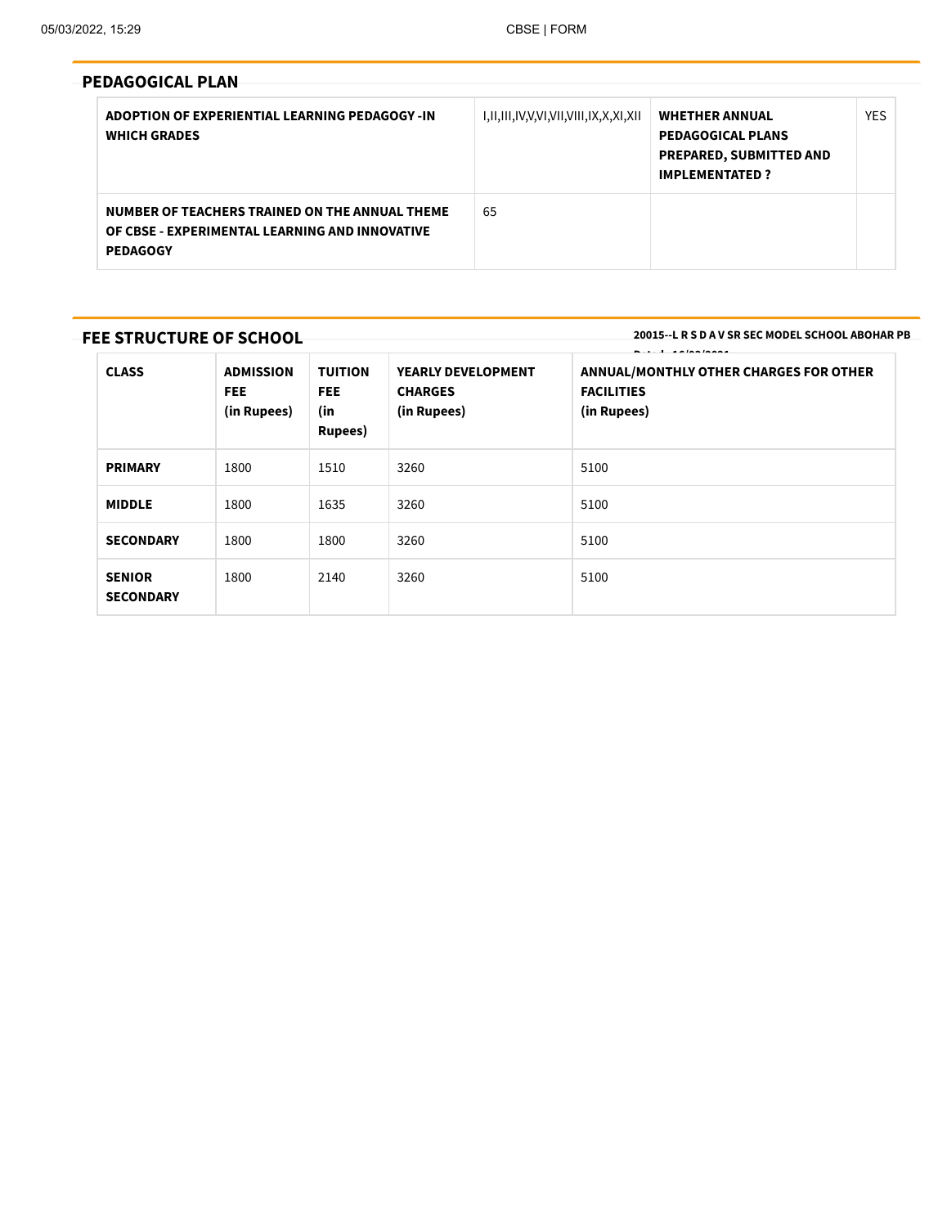| <b>PEDAGOGICAL PLAN</b>                                                                                             |                                       |                                                                                                              |            |
|---------------------------------------------------------------------------------------------------------------------|---------------------------------------|--------------------------------------------------------------------------------------------------------------|------------|
| ADOPTION OF EXPERIENTIAL LEARNING PEDAGOGY -IN<br><b>WHICH GRADES</b>                                               | I,II,III,IV,V,VI,VII,VIII,IX,X,XI,XII | <b>WHETHER ANNUAL</b><br><b>PEDAGOGICAL PLANS</b><br><b>PREPARED, SUBMITTED AND</b><br><b>IMPLEMENTATED?</b> | <b>YES</b> |
| NUMBER OF TEACHERS TRAINED ON THE ANNUAL THEME<br>OF CBSE - EXPERIMENTAL LEARNING AND INNOVATIVE<br><b>PEDAGOGY</b> | 65                                    |                                                                                                              |            |

# **FEE STRUCTURE OF SCHOOL**

**20015--L R S D A V SR SEC MODEL SCHOOL ABOHAR PB**

| <b>CLASS</b>                      | <b>ADMISSION</b><br>FEE.<br>(in Rupees) | <b>TUITION</b><br>FEE.<br>(in<br>Rupees) | YEARLY DEVELOPMENT<br><b>CHARGES</b><br>(in Rupees) | ANNUAL/MONTHLY OTHER CHARGES FOR OTHER<br><b>FACILITIES</b><br>(in Rupees) |
|-----------------------------------|-----------------------------------------|------------------------------------------|-----------------------------------------------------|----------------------------------------------------------------------------|
| <b>PRIMARY</b>                    | 1800                                    | 1510                                     | 3260                                                | 5100                                                                       |
| <b>MIDDLE</b>                     | 1800                                    | 1635                                     | 3260                                                | 5100                                                                       |
| <b>SECONDARY</b>                  | 1800                                    | 1800                                     | 3260                                                | 5100                                                                       |
| <b>SENIOR</b><br><b>SECONDARY</b> | 1800                                    | 2140                                     | 3260                                                | 5100                                                                       |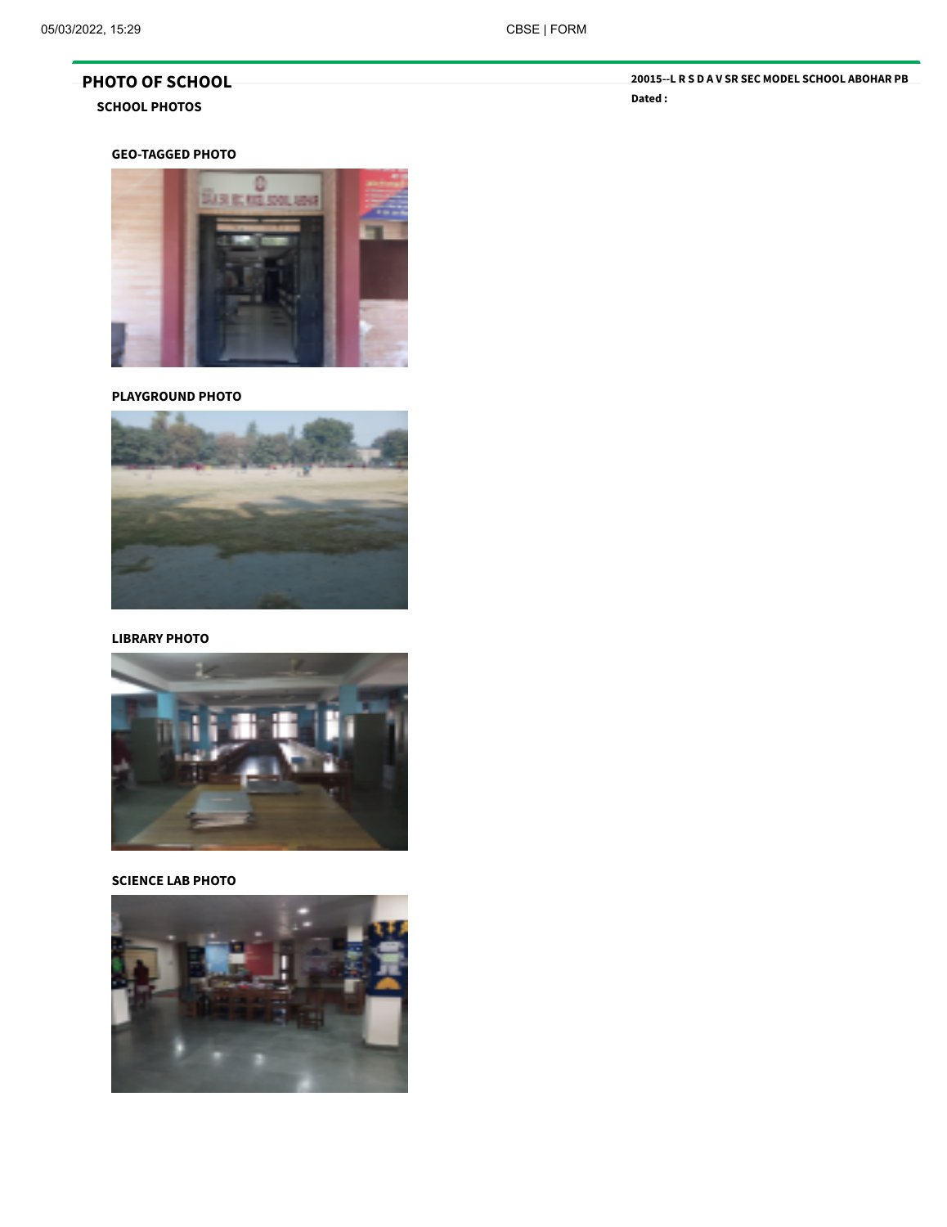# **GEO-TAGGED PHOTO**



# **PLAYGROUND PHOTO**



## **LIBRARY PHOTO**



## **SCIENCE LAB PHOTO**

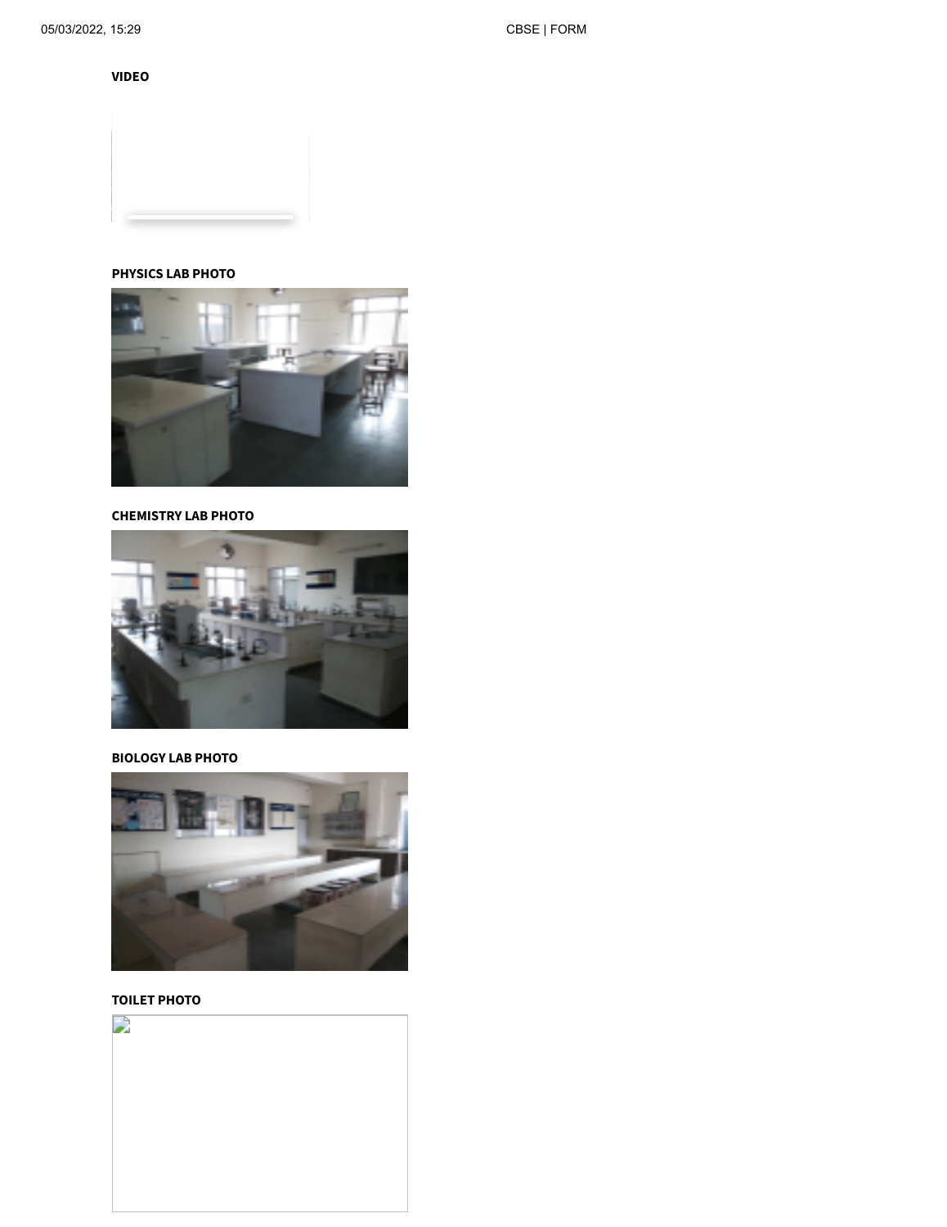## **PHYSICS LAB PHOTO**



#### **CHEMISTRY LAB PHOTO**



#### **BIOLOGY LAB PHOTO**



## **TOILET PHOTO**

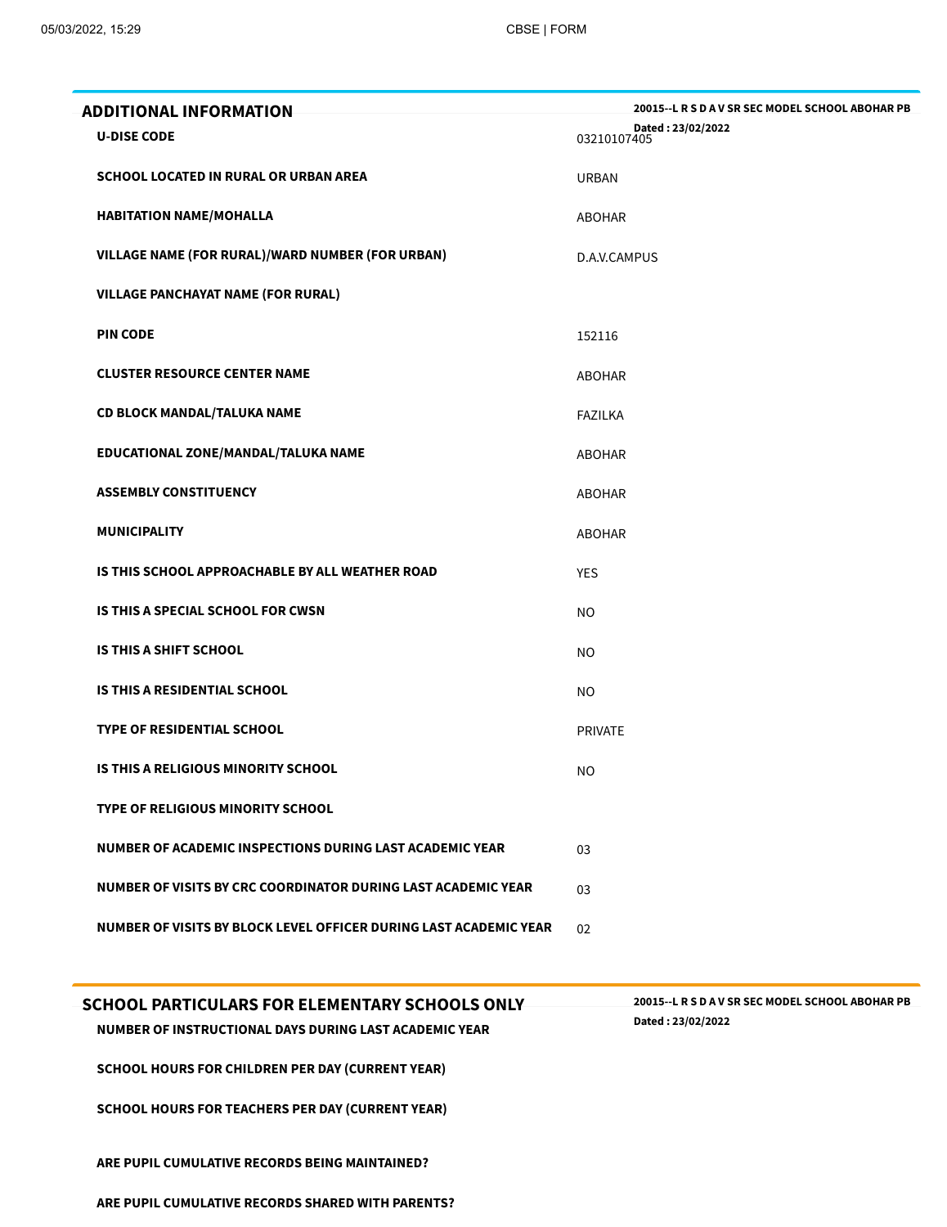| ADDITIONAL INFORMATION                                            | 20015 -- L R S D A V SR SEC MODEL SCHOOL ABOHAR PB |
|-------------------------------------------------------------------|----------------------------------------------------|
| <b>U-DISE CODE</b>                                                | Dated: 23/02/2022<br>03210107405                   |
| <b>SCHOOL LOCATED IN RURAL OR URBAN AREA</b>                      | <b>URBAN</b>                                       |
| <b>HABITATION NAME/MOHALLA</b>                                    | ABOHAR                                             |
| VILLAGE NAME (FOR RURAL)/WARD NUMBER (FOR URBAN)                  | D.A.V.CAMPUS                                       |
| <b>VILLAGE PANCHAYAT NAME (FOR RURAL)</b>                         |                                                    |
| <b>PIN CODE</b>                                                   | 152116                                             |
| <b>CLUSTER RESOURCE CENTER NAME</b>                               | ABOHAR                                             |
| <b>CD BLOCK MANDAL/TALUKA NAME</b>                                | <b>FAZILKA</b>                                     |
| EDUCATIONAL ZONE/MANDAL/TALUKA NAME                               | <b>ABOHAR</b>                                      |
| <b>ASSEMBLY CONSTITUENCY</b>                                      | <b>ABOHAR</b>                                      |
| <b>MUNICIPALITY</b>                                               | ABOHAR                                             |
| IS THIS SCHOOL APPROACHABLE BY ALL WEATHER ROAD                   | <b>YES</b>                                         |
| IS THIS A SPECIAL SCHOOL FOR CWSN                                 | <b>NO</b>                                          |
| IS THIS A SHIFT SCHOOL                                            | <b>NO</b>                                          |
| IS THIS A RESIDENTIAL SCHOOL                                      | <b>NO</b>                                          |
| <b>TYPE OF RESIDENTIAL SCHOOL</b>                                 | <b>PRIVATE</b>                                     |
| <b>IS THIS A RELIGIOUS MINORITY SCHOOL</b>                        | <b>NO</b>                                          |
| <b>TYPE OF RELIGIOUS MINORITY SCHOOL</b>                          |                                                    |
| NUMBER OF ACADEMIC INSPECTIONS DURING LAST ACADEMIC YEAR          | 03                                                 |
| NUMBER OF VISITS BY CRC COORDINATOR DURING LAST ACADEMIC YEAR     | 03                                                 |
| NUMBER OF VISITS BY BLOCK LEVEL OFFICER DURING LAST ACADEMIC YEAR | 02                                                 |
|                                                                   |                                                    |

# **SCHOOL PARTICULARS FOR ELEMENTARY SCHOOLS ONLY**

**Dated : 23/02/2022 NUMBER OF INSTRUCTIONAL DAYS DURING LAST ACADEMIC YEAR**

**SCHOOL HOURS FOR CHILDREN PER DAY (CURRENT YEAR)**

**SCHOOL HOURS FOR TEACHERS PER DAY (CURRENT YEAR)**

**ARE PUPIL CUMULATIVE RECORDS BEING MAINTAINED?**

**ARE PUPIL CUMULATIVE RECORDS SHARED WITH PARENTS?**

**20015--L R S D A V SR SEC MODEL SCHOOL ABOHAR PB**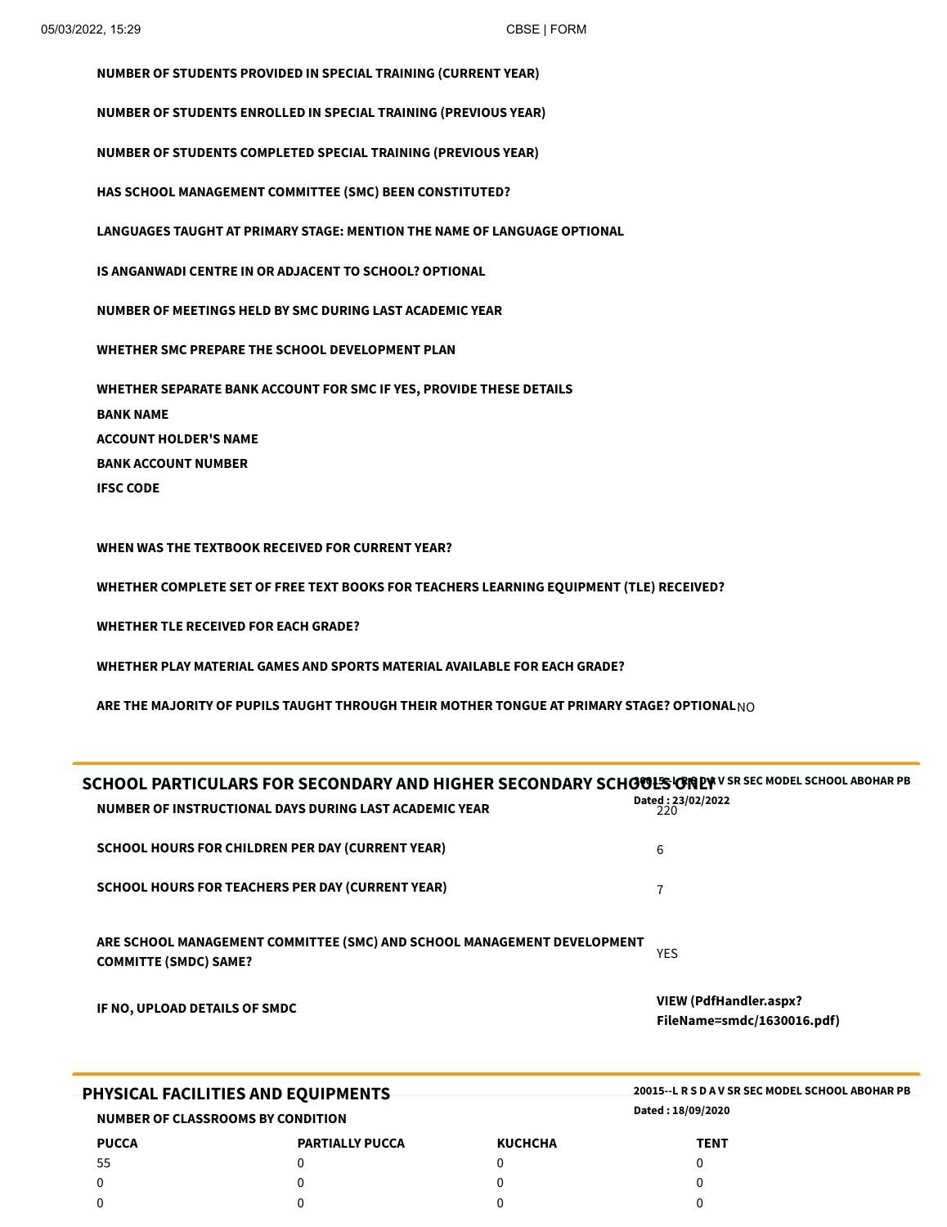**NUMBER OF STUDENTS PROVIDED IN SPECIAL TRAINING (CURRENT YEAR) NUMBER OF STUDENTS ENROLLED IN SPECIAL TRAINING (PREVIOUS YEAR) NUMBER OF STUDENTS COMPLETED SPECIAL TRAINING (PREVIOUS YEAR) HAS SCHOOL MANAGEMENT COMMITTEE (SMC) BEEN CONSTITUTED? LANGUAGES TAUGHT AT PRIMARY STAGE: MENTION THE NAME OF LANGUAGE OPTIONAL IS ANGANWADI CENTRE IN OR ADJACENT TO SCHOOL? OPTIONAL NUMBER OF MEETINGS HELD BY SMC DURING LAST ACADEMIC YEAR WHETHER SMC PREPARE THE SCHOOL DEVELOPMENT PLAN WHETHER SEPARATE BANK ACCOUNT FOR SMC IF YES, PROVIDE THESE DETAILS BANK NAME ACCOUNT HOLDER'S NAME BANK ACCOUNT NUMBER IFSC CODE**

**WHEN WAS THE TEXTBOOK RECEIVED FOR CURRENT YEAR?**

**WHETHER COMPLETE SET OF FREE TEXT BOOKS FOR TEACHERS LEARNING EQUIPMENT (TLE) RECEIVED?**

**WHETHER TLE RECEIVED FOR EACH GRADE?**

**WHETHER PLAY MATERIAL GAMES AND SPORTS MATERIAL AVAILABLE FOR EACH GRADE?**

**ARE THE MAJORITY OF PUPILS TAUGHT THROUGH THEIR MOTHER TONGUE AT PRIMARY STAGE? OPTIONAL**NO

| SCHOOL PARTICULARS FOR SECONDARY AND HIGHER SECONDARY SCHOOLS OR EXECT MODEL SCHOOL ABOHAR PB<br>NUMBER OF INSTRUCTIONAL DAYS DURING LAST ACADEMIC YEAR | Dated: 23/02/2022<br>220                                    |
|---------------------------------------------------------------------------------------------------------------------------------------------------------|-------------------------------------------------------------|
| <b>SCHOOL HOURS FOR CHILDREN PER DAY (CURRENT YEAR)</b>                                                                                                 | 6                                                           |
| <b>SCHOOL HOURS FOR TEACHERS PER DAY (CURRENT YEAR)</b>                                                                                                 | 7                                                           |
| ARE SCHOOL MANAGEMENT COMMITTEE (SMC) AND SCHOOL MANAGEMENT DEVELOPMENT<br><b>COMMITTE (SMDC) SAME?</b>                                                 | <b>YES</b>                                                  |
| IF NO, UPLOAD DETAILS OF SMDC                                                                                                                           | <b>VIEW (PdfHandler.aspx?</b><br>FileName=smdc/1630016.pdf) |
| <b>PHYSICAL FACILITIES AND EQUIPMENTS</b>                                                                                                               | 20015 - L R S D A V SR SEC MODEL SCHOOL ABOHAR PB           |
| <b>NUMBER OF CLASSROOMS BY CONDITION</b><br>------                                                                                                      | Dated: 18/09/2020                                           |

| <b>PUCCA</b> | <b>PARTIALLY PUCCA</b> | <b>KUCHCHA</b> | <b>TENT</b> |
|--------------|------------------------|----------------|-------------|
| 55           |                        |                |             |
|              |                        |                |             |
|              |                        |                |             |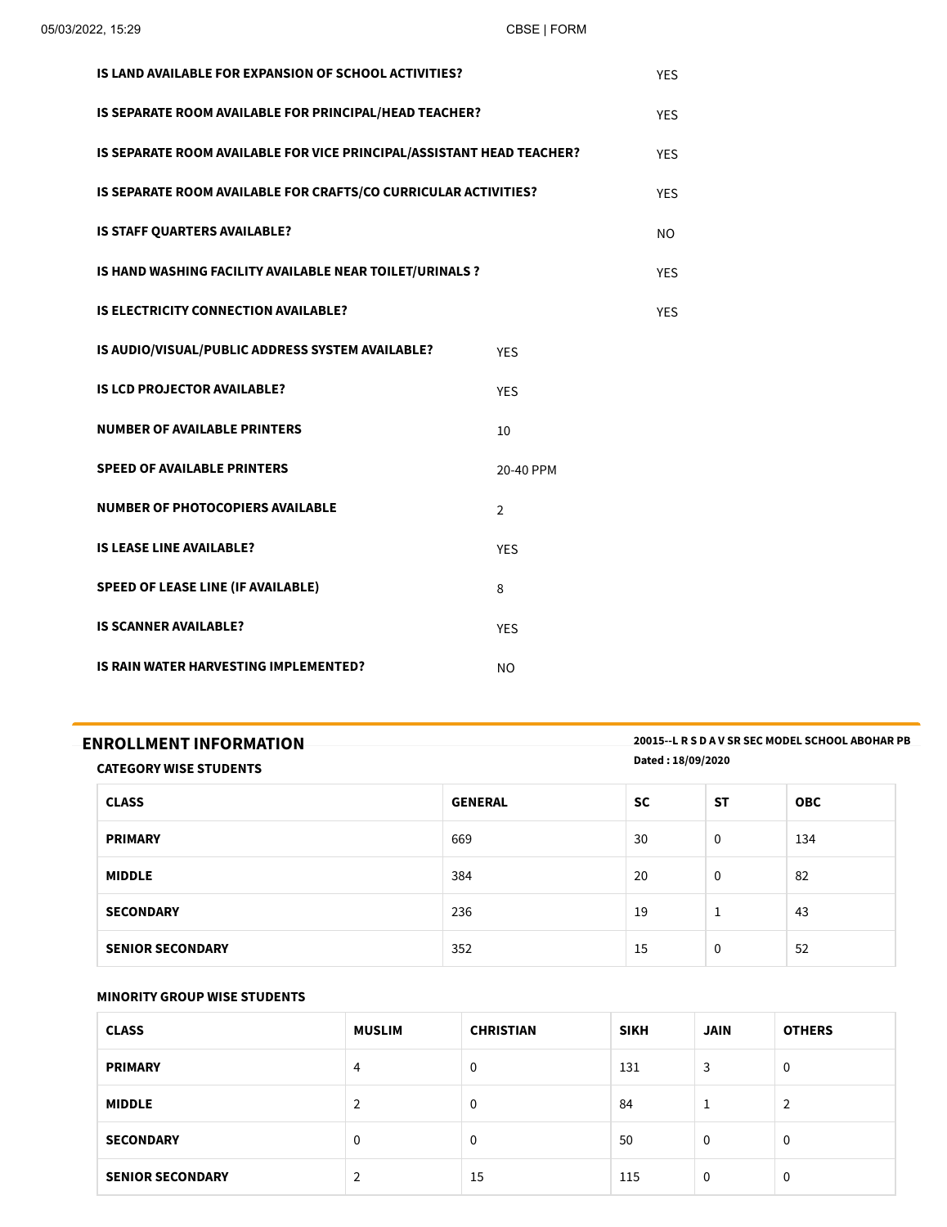| IS LAND AVAILABLE FOR EXPANSION OF SCHOOL ACTIVITIES?                 |                |            |  |  |
|-----------------------------------------------------------------------|----------------|------------|--|--|
| IS SEPARATE ROOM AVAILABLE FOR PRINCIPAL/HEAD TEACHER?                |                |            |  |  |
| IS SEPARATE ROOM AVAILABLE FOR VICE PRINCIPAL/ASSISTANT HEAD TEACHER? |                | <b>YES</b> |  |  |
| IS SEPARATE ROOM AVAILABLE FOR CRAFTS/CO CURRICULAR ACTIVITIES?       |                | <b>YFS</b> |  |  |
| IS STAFF QUARTERS AVAILABLE?                                          |                | NO.        |  |  |
| IS HAND WASHING FACILITY AVAILABLE NEAR TOILET/URINALS ?              |                | <b>YES</b> |  |  |
| <b>IS ELECTRICITY CONNECTION AVAILABLE?</b>                           |                | <b>YES</b> |  |  |
| IS AUDIO/VISUAL/PUBLIC ADDRESS SYSTEM AVAILABLE?                      | <b>YES</b>     |            |  |  |
| <b>IS LCD PROJECTOR AVAILABLE?</b>                                    | <b>YES</b>     |            |  |  |
| <b>NUMBER OF AVAILABLE PRINTERS</b>                                   | 10             |            |  |  |
| <b>SPEED OF AVAILABLE PRINTERS</b>                                    | 20-40 PPM      |            |  |  |
| <b>NUMBER OF PHOTOCOPIERS AVAILABLE</b>                               | $\overline{2}$ |            |  |  |
| <b>IS LEASE LINE AVAILABLE?</b>                                       | <b>YES</b>     |            |  |  |
| <b>SPEED OF LEASE LINE (IF AVAILABLE)</b>                             | 8              |            |  |  |
| <b>IS SCANNER AVAILABLE?</b>                                          | <b>YES</b>     |            |  |  |
| IS RAIN WATER HARVESTING IMPLEMENTED?                                 | <b>NO</b>      |            |  |  |

| <b>ENROLLMENT INFORMATION</b> | 20015 - L R S D A V SR SEC MODEL SCHOOL ABOHAR PB |
|-------------------------------|---------------------------------------------------|
| <b>CATEGORY WISE STUDENTS</b> | Dated: 18/09/2020                                 |

| <b>CLASS</b>            | <b>GENERAL</b> | <b>SC</b> | <b>ST</b>   | <b>OBC</b> |
|-------------------------|----------------|-----------|-------------|------------|
| <b>PRIMARY</b>          | 669            | 30        | $\mathbf 0$ | 134        |
| <b>MIDDLE</b>           | 384            | 20        | $\mathbf 0$ | 82         |
| <b>SECONDARY</b>        | 236            | 19        | 1           | 43         |
| <b>SENIOR SECONDARY</b> | 352            | 15        | $\mathbf 0$ | 52         |

## **MINORITY GROUP WISE STUDENTS**

| <b>MINORITY GROUP WISE STUDENTS</b> |               |                  |             |             |               |  |  |
|-------------------------------------|---------------|------------------|-------------|-------------|---------------|--|--|
| <b>CLASS</b>                        | <b>MUSLIM</b> | <b>CHRISTIAN</b> | <b>SIKH</b> | <b>JAIN</b> | <b>OTHERS</b> |  |  |
| <b>PRIMARY</b>                      | 4             | 0                | 131         | 3           | 0             |  |  |
| <b>MIDDLE</b>                       | 2             | 0                | 84          | щ           | 2             |  |  |
| <b>SECONDARY</b>                    | 0             | 0                | 50          | 0           | 0             |  |  |
| <b>SENIOR SECONDARY</b>             | 2             | 15               | 115         | 0           | 0             |  |  |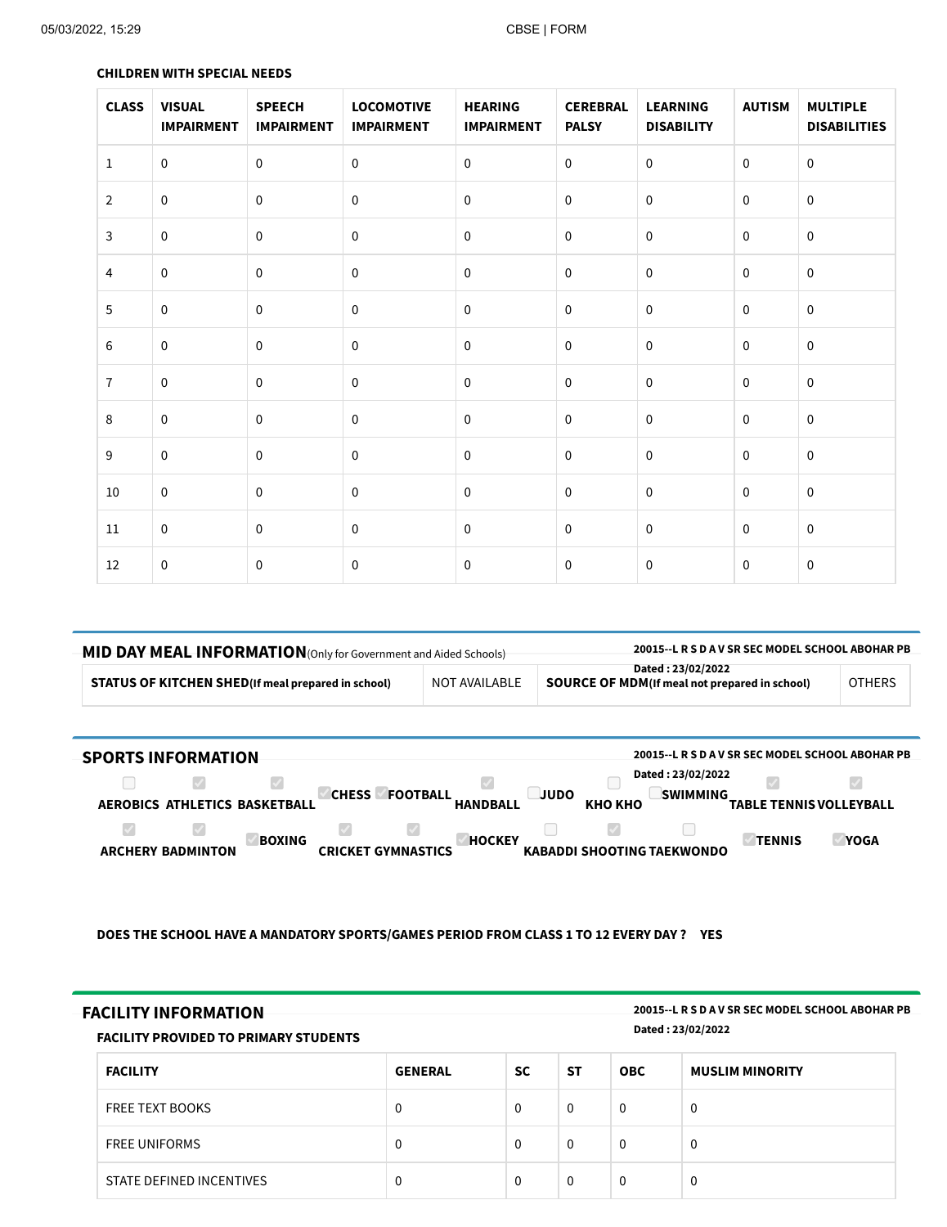| <b>CLASS</b>   | <b>VISUAL</b><br><b>IMPAIRMENT</b> | <b>SPEECH</b><br><b>IMPAIRMENT</b> | <b>LOCOMOTIVE</b><br><b>IMPAIRMENT</b> | <b>HEARING</b><br><b>IMPAIRMENT</b> | <b>CEREBRAL</b><br><b>PALSY</b> | <b>LEARNING</b><br><b>DISABILITY</b> | <b>AUTISM</b>  | <b>MULTIPLE</b><br><b>DISABILITIES</b> |
|----------------|------------------------------------|------------------------------------|----------------------------------------|-------------------------------------|---------------------------------|--------------------------------------|----------------|----------------------------------------|
| $\mathbf{1}$   | $\pmb{0}$                          | $\pmb{0}$                          | $\mathsf{O}\xspace$                    | $\mathbf 0$                         | $\mathbf 0$                     | $\pmb{0}$                            | $\overline{0}$ | $\mathbf 0$                            |
| $\overline{2}$ | $\mathsf 0$                        | $\mathbf 0$                        | $\mathsf{O}\xspace$                    | $\mathbf 0$                         | $\mathbf 0$                     | $\mathbf 0$                          | $\mathbf 0$    | $\mathbf 0$                            |
| $\mathbf{3}$   | $\mathsf 0$                        | $\mathsf 0$                        | $\pmb{0}$                              | $\mathbf 0$                         | $\pmb{0}$                       | $\pmb{0}$                            | $\mathbf 0$    | $\mathbf 0$                            |
| $\overline{4}$ | $\mathsf 0$                        | $\pmb{0}$                          | $\pmb{0}$                              | $\pmb{0}$                           | $\mathbf 0$                     | $\pmb{0}$                            | $\pmb{0}$      | $\pmb{0}$                              |
| 5              | $\pmb{0}$                          | $\pmb{0}$                          | $\mathsf{O}\xspace$                    | $\mathbf 0$                         | $\mathbf 0$                     | $\mathbf 0$                          | $\mathbf 0$    | $\mathbf 0$                            |
| $\,6\,$        | $\pmb{0}$                          | $\pmb{0}$                          | $\pmb{0}$                              | $\mathbf 0$                         | $\pmb{0}$                       | $\pmb{0}$                            | $\mathbf 0$    | $\mathbf 0$                            |
| $\overline{7}$ | $\mathbf 0$                        | $\mathbf 0$                        | $\mathsf{O}\xspace$                    | $\mathbf 0$                         | $\mathbf 0$                     | $\mathbf 0$                          | $\mathbf 0$    | $\mathbf 0$                            |
| 8              | $\mathsf 0$                        | $\pmb{0}$                          | $\mathsf{O}\xspace$                    | $\pmb{0}$                           | $\mathbf 0$                     | $\pmb{0}$                            | $\pmb{0}$      | $\pmb{0}$                              |
| 9              | $\pmb{0}$                          | $\pmb{0}$                          | $\mathbf 0$                            | $\mathbf 0$                         | 0                               | $\mathbf 0$                          | $\mathbf 0$    | $\mathbf 0$                            |
| $10\,$         | $\pmb{0}$                          | $\pmb{0}$                          | $\mathsf{O}\xspace$                    | $\pmb{0}$                           | $\mathbf 0$                     | $\pmb{0}$                            | $\mathbf 0$    | $\pmb{0}$                              |
| 11             | $\pmb{0}$                          | $\mathbf 0$                        | $\mathbf 0$                            | $\mathbf{0}$                        | 0                               | $\mathbf 0$                          | $\mathbf{0}$   | $\mathbf 0$                            |
| 12             | $\pmb{0}$                          | $\pmb{0}$                          | $\pmb{0}$                              | $\pmb{0}$                           | $\pmb{0}$                       | $\pmb{0}$                            | $\mathbf 0$    | $\pmb{0}$                              |

## **CHILDREN WITH SPECIAL NEEDS**

| -MID DAY MEAL INFORMATION (Only for Government and Aided Schools) |               | 20015 - L R S D A V SR SEC MODEL SCHOOL ABOHAR PB                   |               |  |
|-------------------------------------------------------------------|---------------|---------------------------------------------------------------------|---------------|--|
| <b>STATUS OF KITCHEN SHED</b> (If meal prepared in school)        | NOT AVAILABLE | Dated: 23/02/2022<br>SOURCE OF MDM (If meal not prepared in school) | <b>OTHERS</b> |  |

| <b>SPORTS INFORMATION</b>                 |                                                                   | 20015 -- L R S D A V SR SEC MODEL SCHOOL ABOHAR PB                                |
|-------------------------------------------|-------------------------------------------------------------------|-----------------------------------------------------------------------------------|
| AEROBICS ATHLETICS BASKETBALL             | <b>CHESS</b><br><b>JUDO</b><br><b>FOOTBALL</b><br><b>HANDBALL</b> | Dated: 23/02/2022<br><b>SWIMMING</b><br>КНО КНО<br><b>TABLE TENNIS VOLLEYBALL</b> |
| <b>BOXING</b><br><b>ARCHERY BADMINTON</b> | <b>HOCKEY</b><br>CRICKET GYMNASTICS                               | <b>TENNIS</b><br><b>YOGA</b><br><b>KABADDI SHOOTING TAEKWONDO</b>                 |

**DOES THE SCHOOL HAVE A MANDATORY SPORTS/GAMES PERIOD FROM CLASS 1 TO 12 EVERY DAY ? YES**

| <b>FACILITY INFORMATION</b><br><b>FACILITY PROVIDED TO PRIMARY STUDENTS</b> |                |           |              | 20015 - L R S D A V SR SEC MODEL SCHOOL ABOHAR PB<br>Dated: 23/02/2022 |                        |  |
|-----------------------------------------------------------------------------|----------------|-----------|--------------|------------------------------------------------------------------------|------------------------|--|
| <b>FACILITY</b>                                                             | <b>GENERAL</b> | <b>SC</b> | <b>ST</b>    | <b>OBC</b>                                                             | <b>MUSLIM MINORITY</b> |  |
| <b>FREE TEXT BOOKS</b>                                                      | $\Omega$       | $\Omega$  | $\mathbf{0}$ | 0                                                                      | $\Omega$               |  |
| <b>FREE UNIFORMS</b>                                                        | 0              | $\Omega$  | 0            | 0                                                                      | $\Omega$               |  |
| STATE DEFINED INCENTIVES                                                    | $\Omega$       | $\Omega$  | 0            | 0                                                                      | $\mathbf{0}$           |  |